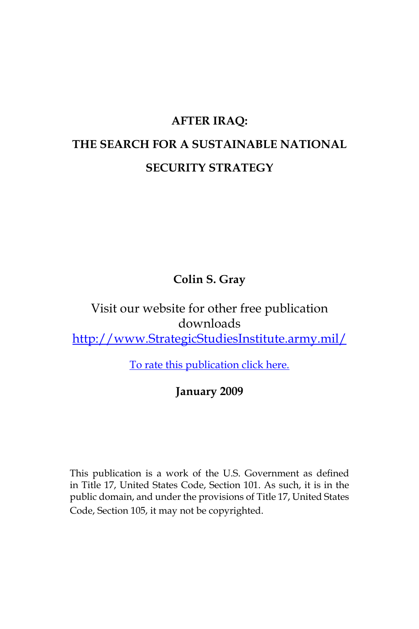# **AFTER IRAQ:**

# **THE SEARCH FOR A SUSTAINABLE NATIONAL SECURITY STRATEGY**

**Colin S. Gray**

Visit our website for other free publication downloads [http://www.StrategicStudiesInstitute.army.mil/](http://www.strategicstudiesinstitute.army.mil/pubs/display.cfm?pubID=902)

[To rate this publication click here.](http://www.strategicstudiesinstitute.army.mil/pubs/display.cfm?pubID=890)

# **January 2009**

This publication is a work of the U.S. Government as defined in Title 17, United States Code, Section 101. As such, it is in the public domain, and under the provisions of Title 17, United States Code, Section 105, it may not be copyrighted.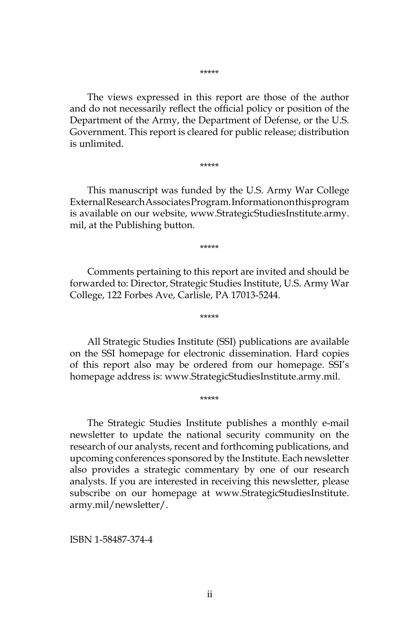\*\*\*\*\*

The views expressed in this report are those of the author and do not necessarily reflect the official policy or position of the Department of the Army, the Department of Defense, or the U.S. Government. This report is cleared for public release; distribution is unlimited.

\*\*\*\*\*

This manuscript was funded by the U.S. Army War College External Research Associates Program. Information on this program is available on our website, www.StrategicStudiesInstitute.army. mil, at the Publishing button.

\*\*\*\*\*

Comments pertaining to this report are invited and should be forwarded to: Director, Strategic Studies Institute, U.S. Army War College, 122 Forbes Ave, Carlisle, PA 17013-5244.

\*\*\*\*\*

All Strategic Studies Institute (SSI) publications are available on the SSI homepage for electronic dissemination. Hard copies of this report also may be ordered from our homepage. SSI's homepage address is: www.StrategicStudiesInstitute.army.mil.

\*\*\*\*\*

The Strategic Studies Institute publishes a monthly e-mail newsletter to update the national security community on the research of our analysts, recent and forthcoming publications, and upcoming conferences sponsored by the Institute. Each newsletter also provides a strategic commentary by one of our research analysts. If you are interested in receiving this newsletter, please subscribe on our homepage at www.StrategicStudiesInstitute. army.mil/newsletter/.

ISBN 1-58487-374-4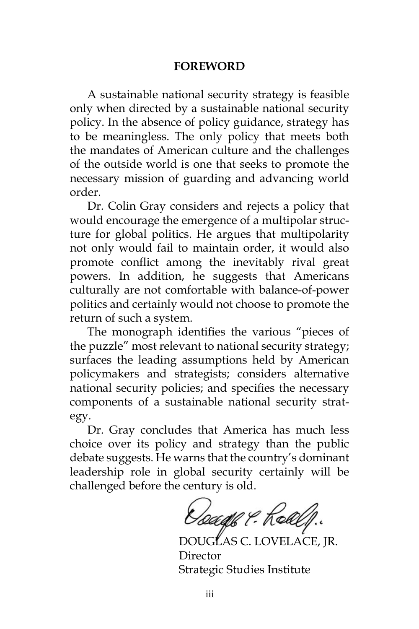#### **FOREWORD**

A sustainable national security strategy is feasible only when directed by a sustainable national security policy. In the absence of policy guidance, strategy has to be meaningless. The only policy that meets both the mandates of American culture and the challenges of the outside world is one that seeks to promote the necessary mission of guarding and advancing world order.

Dr. Colin Gray considers and rejects a policy that would encourage the emergence of a multipolar structure for global politics. He argues that multipolarity not only would fail to maintain order, it would also promote conflict among the inevitably rival great powers. In addition, he suggests that Americans culturally are not comfortable with balance-of-power politics and certainly would not choose to promote the return of such a system.

The monograph identifies the various "pieces of the puzzle" most relevant to national security strategy; surfaces the leading assumptions held by American policymakers and strategists; considers alternative national security policies; and specifies the necessary components of a sustainable national security strategy.

Dr. Gray concludes that America has much less choice over its policy and strategy than the public debate suggests. He warns that the country's dominant leadership role in global security certainly will be challenged before the century is old.

*Douge P. Roll ().*<br>DOUGLAS C. LOVELACE, JR.

Director Strategic Studies Institute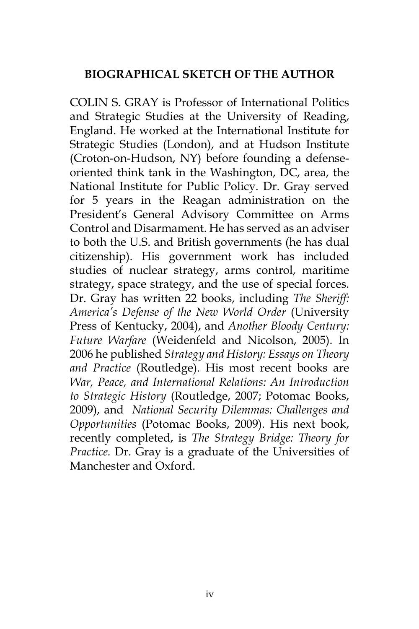## **BIOGRAPHICAL SKETCH OF THE AUTHOR**

COLIN S. GRAY is Professor of International Politics and Strategic Studies at the University of Reading, England. He worked at the International Institute for Strategic Studies (London), and at Hudson Institute (Croton-on-Hudson, NY) before founding a defenseoriented think tank in the Washington,  $\overline{DC}$ , area, the National Institute for Public Policy. Dr. Gray served for 5 years in the Reagan administration on the President's General Advisory Committee on Arms Control and Disarmament. He has served as an adviser to both the U.S. and British governments (he has dual citizenship). His government work has included studies of nuclear strategy, arms control, maritime strategy, space strategy, and the use of special forces. Dr. Gray has written 22 books, including *The Sheriff: America's Defense of the New World Order* (University Press of Kentucky, 2004), and *Another Bloody Century: Future Warfare* (Weidenfeld and Nicolson, 2005). In 2006 he published *Strategy and History: Essays on Theory and Practice* (Routledge). His most recent books are *War, Peace, and International Relations: An Introduction to Strategic History* (Routledge, 2007; Potomac Books, 2009), and *National Security Dilemmas: Challenges and Opportunities* (Potomac Books, 2009). His next book, recently completed, is *The Strategy Bridge: Theory for Practice.* Dr. Gray is a graduate of the Universities of Manchester and Oxford.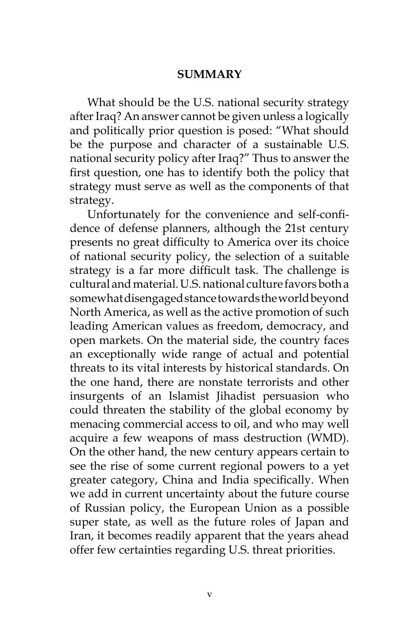#### **SUMMARY**

What should be the U.S. national security strategy after Iraq? An answer cannot be given unless a logically and politically prior question is posed: "What should be the purpose and character of a sustainable U.S. national security policy after Iraq?" Thus to answer the first question, one has to identify both the policy that strategy must serve as well as the components of that strategy.

Unfortunately for the convenience and self-confidence of defense planners, although the 21st century presents no great difficulty to America over its choice of national security policy, the selection of a suitable strategy is a far more difficult task. The challenge is cultural and material. U.S. national culture favors both a somewhat disengaged stance towards the world beyond North America, as well as the active promotion of such leading American values as freedom, democracy, and open markets. On the material side, the country faces an exceptionally wide range of actual and potential threats to its vital interests by historical standards. On the one hand, there are nonstate terrorists and other insurgents of an Islamist Jihadist persuasion who could threaten the stability of the global economy by menacing commercial access to oil, and who may well acquire a few weapons of mass destruction (WMD). On the other hand, the new century appears certain to see the rise of some current regional powers to a yet greater category, China and India specifically. When we add in current uncertainty about the future course of Russian policy, the European Union as a possible super state, as well as the future roles of Japan and Iran, it becomes readily apparent that the years ahead offer few certainties regarding U.S. threat priorities.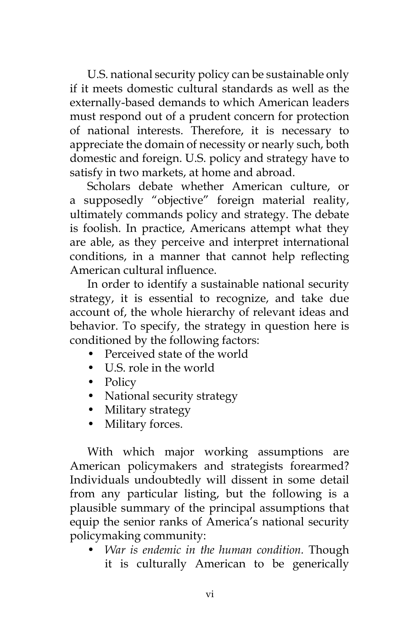U.S. national security policy can be sustainable only if it meets domestic cultural standards as well as the externally-based demands to which American leaders must respond out of a prudent concern for protection of national interests. Therefore, it is necessary to appreciate the domain of necessity or nearly such, both domestic and foreign. U.S. policy and strategy have to satisfy in two markets, at home and abroad.

Scholars debate whether American culture, or a supposedly "objective" foreign material reality, ultimately commands policy and strategy. The debate is foolish. In practice, Americans attempt what they are able, as they perceive and interpret international conditions, in a manner that cannot help reflecting American cultural influence.

In order to identify a sustainable national security strategy, it is essential to recognize, and take due account of, the whole hierarchy of relevant ideas and behavior. To specify, the strategy in question here is conditioned by the following factors:

- Perceived state of the world
- U.S. role in the world
- Policy
- National security strategy
- Military strategy
- Military forces.

With which major working assumptions are American policymakers and strategists forearmed? Individuals undoubtedly will dissent in some detail from any particular listing, but the following is a plausible summary of the principal assumptions that equip the senior ranks of America's national security policymaking community:

• *War is endemic in the human condition.* Though it is culturally American to be generically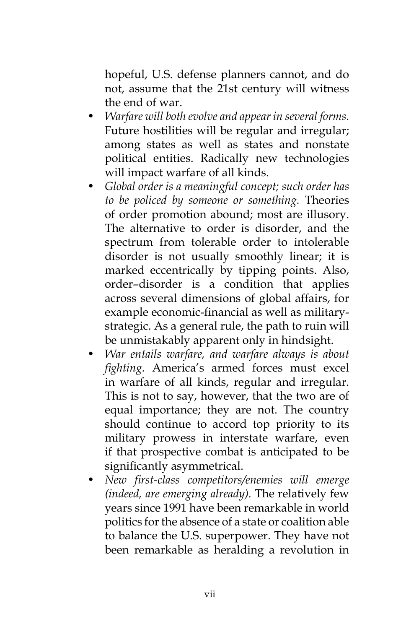hopeful, U.S. defense planners cannot, and do not, assume that the 21st century will witness the end of war.

- *Warfare will both evolve and appear in several forms.* Future hostilities will be regular and irregular; among states as well as states and nonstate political entities. Radically new technologies will impact warfare of all kinds.
- *Global order is a meaningful concept; such order has to be policed by someone or something.* Theories of order promotion abound; most are illusory. The alternative to order is disorder, and the spectrum from tolerable order to intolerable disorder is not usually smoothly linear; it is marked eccentrically by tipping points. Also, order–disorder is a condition that applies across several dimensions of global affairs, for example economic-financial as well as militarystrategic. As a general rule, the path to ruin will be unmistakably apparent only in hindsight.
- *War entails warfare, and warfare always is about fighting.* America's armed forces must excel in warfare of all kinds, regular and irregular. This is not to say, however, that the two are of equal importance; they are not. The country should continue to accord top priority to its military prowess in interstate warfare, even if that prospective combat is anticipated to be significantly asymmetrical.
- *New first-class competitors/enemies will emerge (indeed, are emerging already).* The relatively few years since 1991 have been remarkable in world politics for the absence of a state or coalition able to balance the U.S. superpower. They have not been remarkable as heralding a revolution in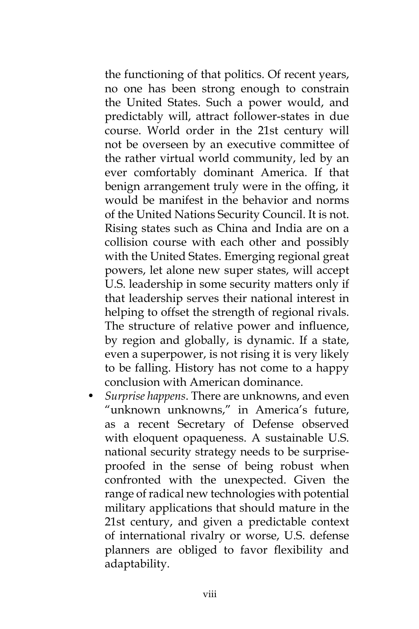the functioning of that politics. Of recent years, no one has been strong enough to constrain the United States. Such a power would, and predictably will, attract follower-states in due course. World order in the 21st century will not be overseen by an executive committee of the rather virtual world community, led by an ever comfortably dominant America. If that benign arrangement truly were in the offing, it would be manifest in the behavior and norms of the United Nations Security Council. It is not. Rising states such as China and India are on a collision course with each other and possibly with the United States. Emerging regional great powers, let alone new super states, will accept U.S. leadership in some security matters only if that leadership serves their national interest in helping to offset the strength of regional rivals. The structure of relative power and influence, by region and globally, is dynamic. If a state, even a superpower, is not rising it is very likely to be falling. History has not come to a happy conclusion with American dominance.

• *Surprise happens*. There are unknowns, and even "unknown unknowns," in America's future, as a recent Secretary of Defense observed with eloquent opaqueness. A sustainable U.S. national security strategy needs to be surpriseproofed in the sense of being robust when confronted with the unexpected. Given the range of radical new technologies with potential military applications that should mature in the 21st century, and given a predictable context of international rivalry or worse, U.S. defense planners are obliged to favor flexibility and adaptability.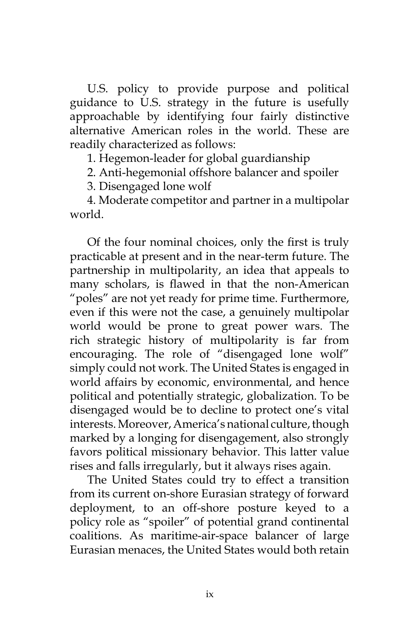U.S. policy to provide purpose and political guidance to U.S. strategy in the future is usefully approachable by identifying four fairly distinctive alternative American roles in the world. These are readily characterized as follows:

1. Hegemon-leader for global guardianship

2. Anti-hegemonial offshore balancer and spoiler

3. Disengaged lone wolf

4. Moderate competitor and partner in a multipolar world.

Of the four nominal choices, only the first is truly practicable at present and in the near-term future. The partnership in multipolarity, an idea that appeals to many scholars, is flawed in that the non-American "poles" are not yet ready for prime time. Furthermore, even if this were not the case, a genuinely multipolar world would be prone to great power wars. The rich strategic history of multipolarity is far from encouraging. The role of "disengaged lone wolf" simply could not work. The United States is engaged in world affairs by economic, environmental, and hence political and potentially strategic, globalization. To be disengaged would be to decline to protect one's vital interests. Moreover, America's national culture, though marked by a longing for disengagement, also strongly favors political missionary behavior. This latter value rises and falls irregularly, but it always rises again.

The United States could try to effect a transition from its current on-shore Eurasian strategy of forward deployment, to an off-shore posture keyed to a policy role as "spoiler" of potential grand continental coalitions. As maritime-air-space balancer of large Eurasian menaces, the United States would both retain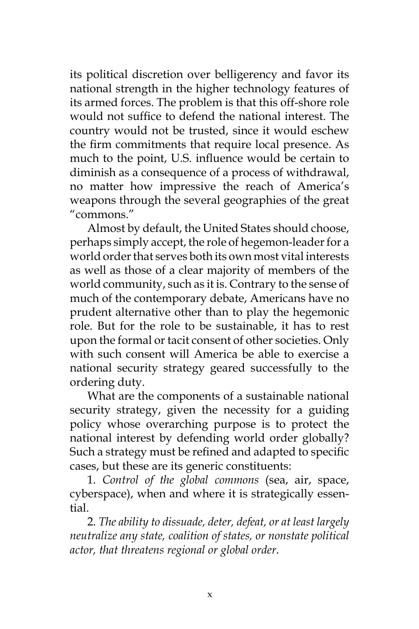its political discretion over belligerency and favor its national strength in the higher technology features of its armed forces. The problem is that this off-shore role would not suffice to defend the national interest. The country would not be trusted, since it would eschew the firm commitments that require local presence. As much to the point, U.S. influence would be certain to diminish as a consequence of a process of withdrawal, no matter how impressive the reach of America's weapons through the several geographies of the great "commons."

Almost by default, the United States should choose, perhaps simply accept, the role of hegemon-leader for a world order that serves both its own most vital interests as well as those of a clear majority of members of the world community, such as it is. Contrary to the sense of much of the contemporary debate, Americans have no prudent alternative other than to play the hegemonic role. But for the role to be sustainable, it has to rest upon the formal or tacit consent of other societies. Only with such consent will America be able to exercise a national security strategy geared successfully to the ordering duty.

What are the components of a sustainable national security strategy, given the necessity for a guiding policy whose overarching purpose is to protect the national interest by defending world order globally? Such a strategy must be refined and adapted to specific cases, but these are its generic constituents:

1. *Control of the global commons* (sea, air, space, cyberspace), when and where it is strategically essential.

2. *The ability to dissuade, deter, defeat, or at least largely neutralize any state, coalition of states, or nonstate political actor, that threatens regional or global order*.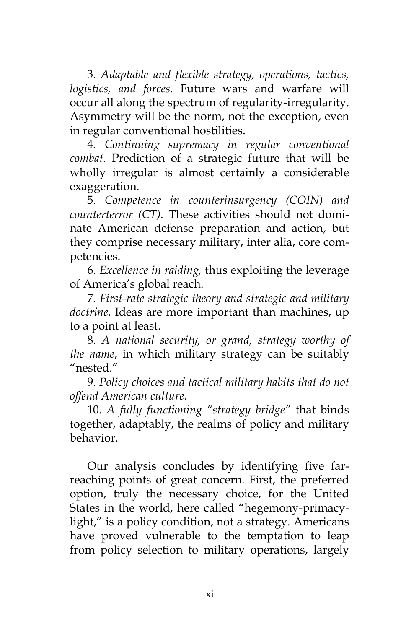3. *Adaptable and flexible strategy, operations, tactics, logistics, and forces.* Future wars and warfare will occur all along the spectrum of regularity-irregularity. Asymmetry will be the norm, not the exception, even in regular conventional hostilities.

4. *Continuing supremacy in regular conventional combat.* Prediction of a strategic future that will be wholly irregular is almost certainly a considerable exaggeration.

5. *Competence in counterinsurgency (COIN) and counterterror (CT).* These activities should not dominate American defense preparation and action, but they comprise necessary military, inter alia, core competencies.

6. *Excellence in raiding,* thus exploiting the leverage of America's global reach.

7. *First-rate strategic theory and strategic and military doctrine.* Ideas are more important than machines, up to a point at least.

8. *A national security, or grand, strategy worthy of the name*, in which military strategy can be suitably "nested."

9. *Policy choices and tactical military habits that do not offend American culture*.

10. *A fully functioning "strategy bridge"* that binds together, adaptably, the realms of policy and military behavior.

Our analysis concludes by identifying five farreaching points of great concern. First, the preferred option, truly the necessary choice, for the United States in the world, here called "hegemony-primacylight," is a policy condition, not a strategy. Americans have proved vulnerable to the temptation to leap from policy selection to military operations, largely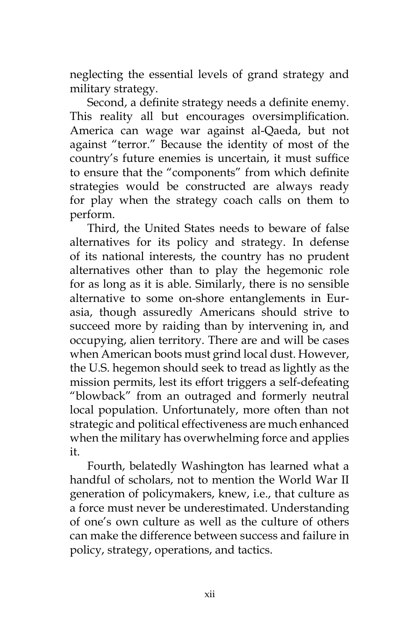neglecting the essential levels of grand strategy and military strategy.

Second, a definite strategy needs a definite enemy. This reality all but encourages oversimplification. America can wage war against al-Qaeda, but not against "terror." Because the identity of most of the country's future enemies is uncertain, it must suffice to ensure that the "components" from which definite strategies would be constructed are always ready for play when the strategy coach calls on them to perform.

Third, the United States needs to beware of false alternatives for its policy and strategy. In defense of its national interests, the country has no prudent alternatives other than to play the hegemonic role for as long as it is able. Similarly, there is no sensible alternative to some on-shore entanglements in Eurasia, though assuredly Americans should strive to succeed more by raiding than by intervening in, and occupying, alien territory. There are and will be cases when American boots must grind local dust. However, the U.S. hegemon should seek to tread as lightly as the mission permits, lest its effort triggers a self-defeating "blowback" from an outraged and formerly neutral local population. Unfortunately, more often than not strategic and political effectiveness are much enhanced when the military has overwhelming force and applies it.

Fourth, belatedly Washington has learned what a handful of scholars, not to mention the World War II generation of policymakers, knew, i.e., that culture as a force must never be underestimated. Understanding of one's own culture as well as the culture of others can make the difference between success and failure in policy, strategy, operations, and tactics.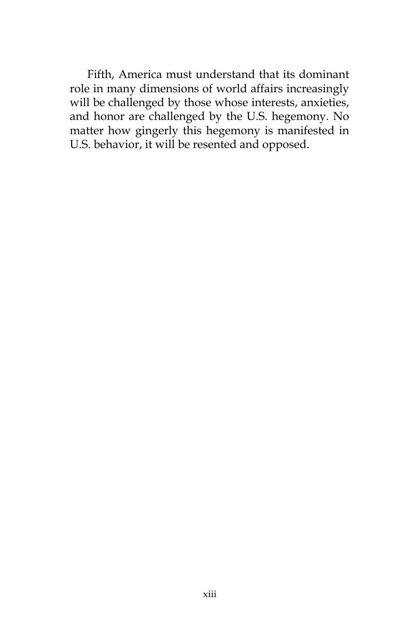Fifth, America must understand that its dominant role in many dimensions of world affairs increasingly will be challenged by those whose interests, anxieties, and honor are challenged by the U.S. hegemony. No matter how gingerly this hegemony is manifested in U.S. behavior, it will be resented and opposed.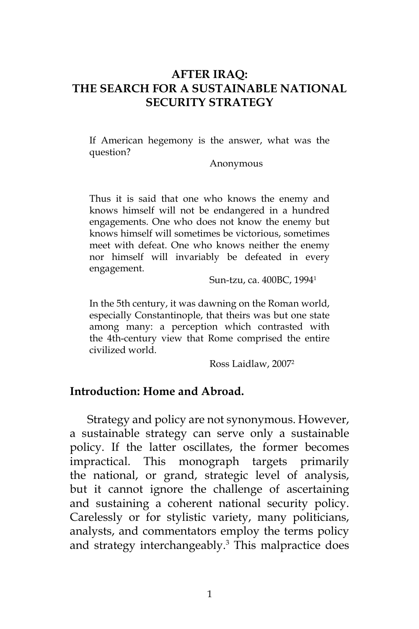## **AFTER IRAQ: THE SEARCH FOR A SUSTAINABLE NATIONAL SECURITY STRATEGY**

If American hegemony is the answer, what was the question?

Anonymous

Thus it is said that one who knows the enemy and knows himself will not be endangered in a hundred engagements. One who does not know the enemy but knows himself will sometimes be victorious, sometimes meet with defeat. One who knows neither the enemy nor himself will invariably be defeated in every engagement.

Sun-tzu, ca. 400BC, 19941

In the 5th century, it was dawning on the Roman world, especially Constantinople, that theirs was but one state among many: a perception which contrasted with the 4th-century view that Rome comprised the entire civilized world.

Ross Laidlaw, 20072

#### **Introduction: Home and Abroad.**

Strategy and policy are not synonymous. However, a sustainable strategy can serve only a sustainable policy. If the latter oscillates, the former becomes impractical. This monograph targets primarily the national, or grand, strategic level of analysis, but it cannot ignore the challenge of ascertaining and sustaining a coherent national security policy. Carelessly or for stylistic variety, many politicians, analysts, and commentators employ the terms policy and strategy interchangeably.3 This malpractice does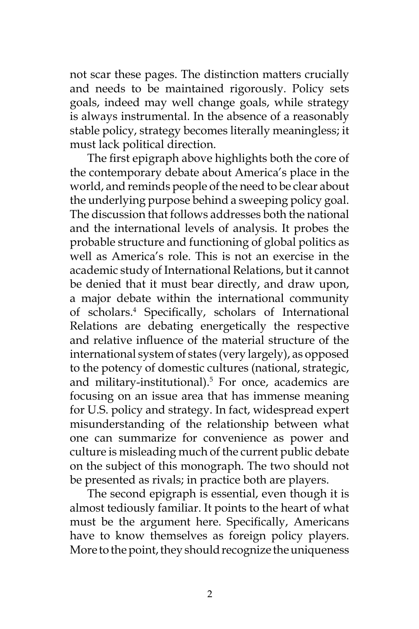not scar these pages. The distinction matters crucially and needs to be maintained rigorously. Policy sets goals, indeed may well change goals, while strategy is always instrumental. In the absence of a reasonably stable policy, strategy becomes literally meaningless; it must lack political direction.

The first epigraph above highlights both the core of the contemporary debate about America's place in the world, and reminds people of the need to be clear about the underlying purpose behind a sweeping policy goal. The discussion that follows addresses both the national and the international levels of analysis. It probes the probable structure and functioning of global politics as well as America's role. This is not an exercise in the academic study of International Relations, but it cannot be denied that it must bear directly, and draw upon, a major debate within the international community of scholars.4 Specifically, scholars of International Relations are debating energetically the respective and relative influence of the material structure of the international system of states (very largely), as opposed to the potency of domestic cultures (national, strategic, and military-institutional).<sup>5</sup> For once, academics are focusing on an issue area that has immense meaning for U.S. policy and strategy. In fact, widespread expert misunderstanding of the relationship between what one can summarize for convenience as power and culture is misleading much of the current public debate on the subject of this monograph. The two should not be presented as rivals; in practice both are players.

The second epigraph is essential, even though it is almost tediously familiar. It points to the heart of what must be the argument here. Specifically, Americans have to know themselves as foreign policy players. More to the point, they should recognize the uniqueness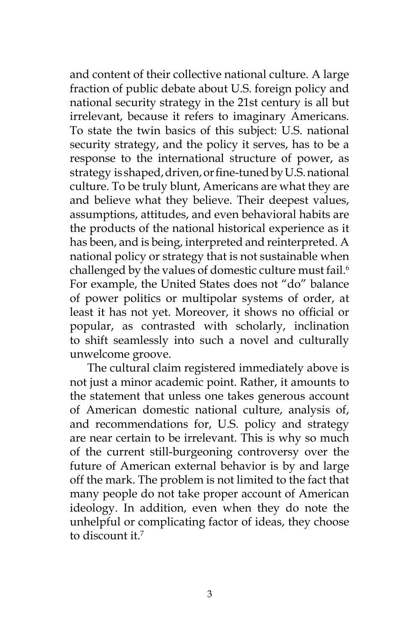and content of their collective national culture. A large fraction of public debate about U.S. foreign policy and national security strategy in the 21st century is all but irrelevant, because it refers to imaginary Americans. To state the twin basics of this subject: U.S. national security strategy, and the policy it serves, has to be a response to the international structure of power, as strategy is shaped, driven, or fine-tuned by U.S. national culture. To be truly blunt, Americans are what they are and believe what they believe. Their deepest values, assumptions, attitudes, and even behavioral habits are the products of the national historical experience as it has been, and is being, interpreted and reinterpreted. A national policy or strategy that is not sustainable when challenged by the values of domestic culture must fail.<sup>6</sup> For example, the United States does not "do" balance of power politics or multipolar systems of order, at least it has not yet. Moreover, it shows no official or popular, as contrasted with scholarly, inclination to shift seamlessly into such a novel and culturally unwelcome groove.

The cultural claim registered immediately above is not just a minor academic point. Rather, it amounts to the statement that unless one takes generous account of American domestic national culture, analysis of, and recommendations for, U.S. policy and strategy are near certain to be irrelevant. This is why so much of the current still-burgeoning controversy over the future of American external behavior is by and large off the mark. The problem is not limited to the fact that many people do not take proper account of American ideology. In addition, even when they do note the unhelpful or complicating factor of ideas, they choose to discount it.7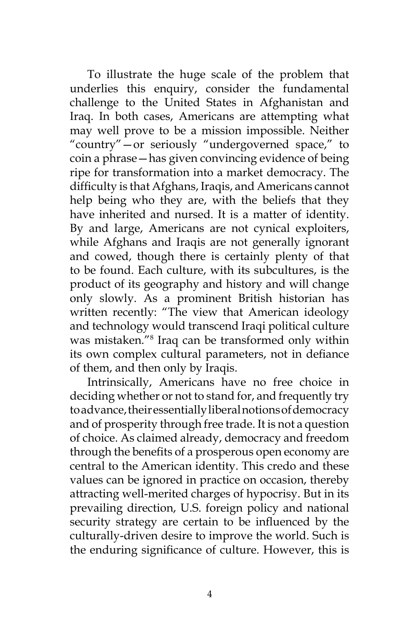To illustrate the huge scale of the problem that underlies this enquiry, consider the fundamental challenge to the United States in Afghanistan and Iraq. In both cases, Americans are attempting what may well prove to be a mission impossible. Neither "country"—or seriously "undergoverned space," to coin a phrase—has given convincing evidence of being ripe for transformation into a market democracy. The difficulty is that Afghans, Iraqis, and Americans cannot help being who they are, with the beliefs that they have inherited and nursed. It is a matter of identity. By and large, Americans are not cynical exploiters, while Afghans and Iraqis are not generally ignorant and cowed, though there is certainly plenty of that to be found. Each culture, with its subcultures, is the product of its geography and history and will change only slowly. As a prominent British historian has written recently: "The view that American ideology and technology would transcend Iraqi political culture was mistaken."8 Iraq can be transformed only within its own complex cultural parameters, not in defiance of them, and then only by Iraqis.

Intrinsically, Americans have no free choice in deciding whether or not to stand for, and frequently try to advance, their essentially liberal notions of democracy and of prosperity through free trade. It is not a question of choice. As claimed already, democracy and freedom through the benefits of a prosperous open economy are central to the American identity. This credo and these values can be ignored in practice on occasion, thereby attracting well-merited charges of hypocrisy. But in its prevailing direction, U.S. foreign policy and national security strategy are certain to be influenced by the culturally-driven desire to improve the world. Such is the enduring significance of culture. However, this is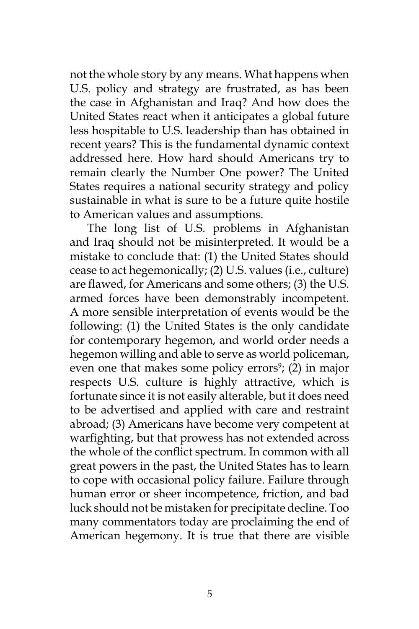not the whole story by any means. What happens when U.S. policy and strategy are frustrated, as has been the case in Afghanistan and Iraq? And how does the United States react when it anticipates a global future less hospitable to U.S. leadership than has obtained in recent years? This is the fundamental dynamic context addressed here. How hard should Americans try to remain clearly the Number One power? The United States requires a national security strategy and policy sustainable in what is sure to be a future quite hostile to American values and assumptions.

The long list of U.S. problems in Afghanistan and Iraq should not be misinterpreted. It would be a mistake to conclude that: (1) the United States should cease to act hegemonically; (2) U.S. values (i.e., culture) are flawed, for Americans and some others; (3) the U.S. armed forces have been demonstrably incompetent. A more sensible interpretation of events would be the following: (1) the United States is the only candidate for contemporary hegemon, and world order needs a hegemon willing and able to serve as world policeman, even one that makes some policy errors<sup>9</sup>; (2) in major respects U.S. culture is highly attractive, which is fortunate since it is not easily alterable, but it does need to be advertised and applied with care and restraint abroad; (3) Americans have become very competent at warfighting, but that prowess has not extended across the whole of the conflict spectrum. In common with all great powers in the past, the United States has to learn to cope with occasional policy failure. Failure through human error or sheer incompetence, friction, and bad luck should not be mistaken for precipitate decline. Too many commentators today are proclaiming the end of American hegemony. It is true that there are visible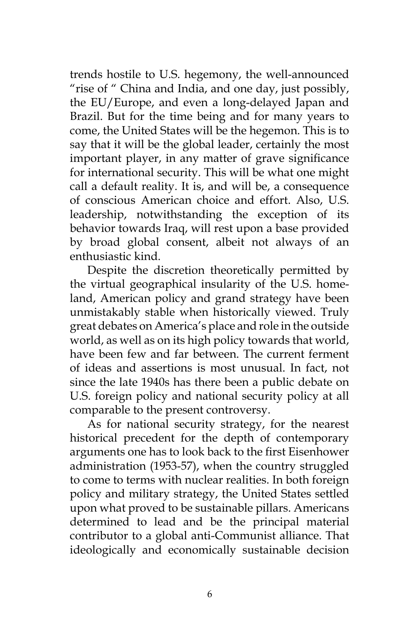trends hostile to U.S. hegemony, the well-announced "rise of " China and India, and one day, just possibly, the EU/Europe, and even a long-delayed Japan and Brazil. But for the time being and for many years to come, the United States will be the hegemon. This is to say that it will be the global leader, certainly the most important player, in any matter of grave significance for international security. This will be what one might call a default reality. It is, and will be, a consequence of conscious American choice and effort. Also, U.S. leadership, notwithstanding the exception of its behavior towards Iraq, will rest upon a base provided by broad global consent, albeit not always of an enthusiastic kind.

Despite the discretion theoretically permitted by the virtual geographical insularity of the U.S. homeland, American policy and grand strategy have been unmistakably stable when historically viewed. Truly great debates on America's place and role in the outside world, as well as on its high policy towards that world, have been few and far between. The current ferment of ideas and assertions is most unusual. In fact, not since the late 1940s has there been a public debate on U.S. foreign policy and national security policy at all comparable to the present controversy.

As for national security strategy, for the nearest historical precedent for the depth of contemporary arguments one has to look back to the first Eisenhower administration (1953-57), when the country struggled to come to terms with nuclear realities. In both foreign policy and military strategy, the United States settled upon what proved to be sustainable pillars. Americans determined to lead and be the principal material contributor to a global anti-Communist alliance. That ideologically and economically sustainable decision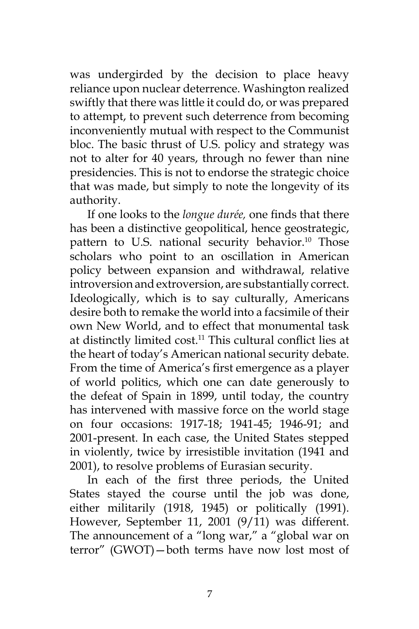was undergirded by the decision to place heavy reliance upon nuclear deterrence. Washington realized swiftly that there was little it could do, or was prepared to attempt, to prevent such deterrence from becoming inconveniently mutual with respect to the Communist bloc. The basic thrust of U.S. policy and strategy was not to alter for 40 years, through no fewer than nine presidencies. This is not to endorse the strategic choice that was made, but simply to note the longevity of its authority.

If one looks to the *longue durée,* one finds that there has been a distinctive geopolitical, hence geostrategic, pattern to U.S. national security behavior.<sup>10</sup> Those scholars who point to an oscillation in American policy between expansion and withdrawal, relative introversion and extroversion, are substantially correct. Ideologically, which is to say culturally, Americans desire both to remake the world into a facsimile of their own New World, and to effect that monumental task at distinctly limited cost.<sup>11</sup> This cultural conflict lies at the heart of today's American national security debate. From the time of America's first emergence as a player of world politics, which one can date generously to the defeat of Spain in 1899, until today, the country has intervened with massive force on the world stage on four occasions: 1917-18; 1941-45; 1946-91; and 2001-present. In each case, the United States stepped in violently, twice by irresistible invitation (1941 and 2001), to resolve problems of Eurasian security.

In each of the first three periods, the United States stayed the course until the job was done, either militarily (1918, 1945) or politically (1991). However, September 11, 2001 (9/11) was different. The announcement of a "long war," a "global war on terror" (GWOT)—both terms have now lost most of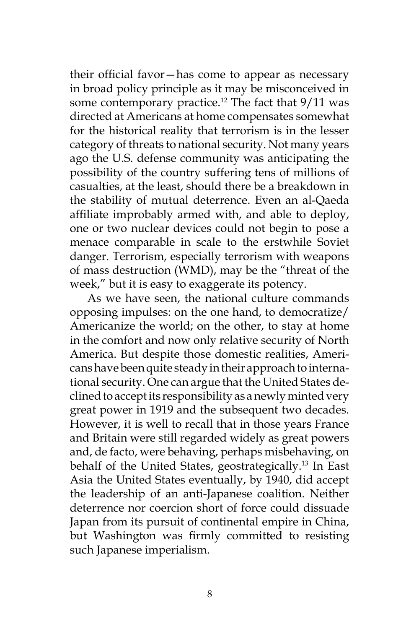their official favor—has come to appear as necessary in broad policy principle as it may be misconceived in some contemporary practice.<sup>12</sup> The fact that  $9/11$  was directed at Americans at home compensates somewhat for the historical reality that terrorism is in the lesser category of threats to national security. Not many years ago the U.S. defense community was anticipating the possibility of the country suffering tens of millions of casualties, at the least, should there be a breakdown in the stability of mutual deterrence. Even an al-Qaeda affiliate improbably armed with, and able to deploy, one or two nuclear devices could not begin to pose a menace comparable in scale to the erstwhile Soviet danger. Terrorism, especially terrorism with weapons of mass destruction (WMD), may be the "threat of the week," but it is easy to exaggerate its potency.

As we have seen, the national culture commands opposing impulses: on the one hand, to democratize/ Americanize the world; on the other, to stay at home in the comfort and now only relative security of North America. But despite those domestic realities, Americans have been quite steady in their approach to international security. One can argue that the United States declined to accept its responsibility as a newly minted very great power in 1919 and the subsequent two decades. However, it is well to recall that in those years France and Britain were still regarded widely as great powers and, de facto, were behaving, perhaps misbehaving, on behalf of the United States, geostrategically.13 In East Asia the United States eventually, by 1940, did accept the leadership of an anti-Japanese coalition. Neither deterrence nor coercion short of force could dissuade Japan from its pursuit of continental empire in China, but Washington was firmly committed to resisting such Japanese imperialism.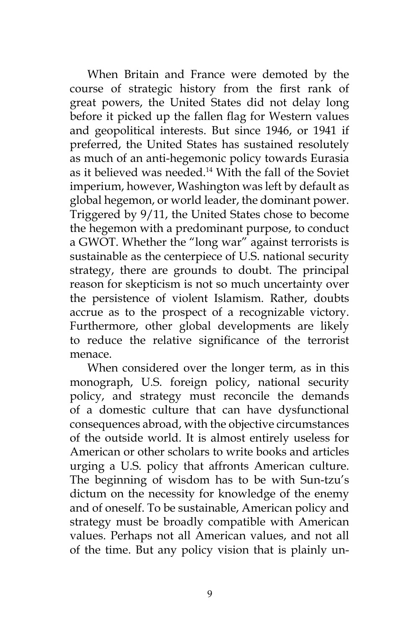When Britain and France were demoted by the course of strategic history from the first rank of great powers, the United States did not delay long before it picked up the fallen flag for Western values and geopolitical interests. But since 1946, or 1941 if preferred, the United States has sustained resolutely as much of an anti-hegemonic policy towards Eurasia as it believed was needed.<sup>14</sup> With the fall of the Soviet imperium, however, Washington was left by default as global hegemon, or world leader, the dominant power. Triggered by 9/11, the United States chose to become the hegemon with a predominant purpose, to conduct a GWOT. Whether the "long war" against terrorists is sustainable as the centerpiece of U.S. national security strategy, there are grounds to doubt. The principal reason for skepticism is not so much uncertainty over the persistence of violent Islamism. Rather, doubts accrue as to the prospect of a recognizable victory. Furthermore, other global developments are likely to reduce the relative significance of the terrorist menace.

When considered over the longer term, as in this monograph, U.S. foreign policy, national security policy, and strategy must reconcile the demands of a domestic culture that can have dysfunctional consequences abroad, with the objective circumstances of the outside world. It is almost entirely useless for American or other scholars to write books and articles urging a U.S. policy that affronts American culture. The beginning of wisdom has to be with Sun-tzu's dictum on the necessity for knowledge of the enemy and of oneself. To be sustainable, American policy and strategy must be broadly compatible with American values. Perhaps not all American values, and not all of the time. But any policy vision that is plainly un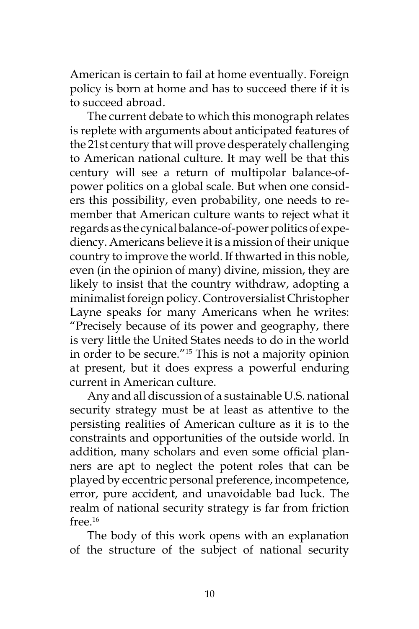American is certain to fail at home eventually. Foreign policy is born at home and has to succeed there if it is to succeed abroad.

The current debate to which this monograph relates is replete with arguments about anticipated features of the 21st century that will prove desperately challenging to American national culture. It may well be that this century will see a return of multipolar balance-ofpower politics on a global scale. But when one considers this possibility, even probability, one needs to remember that American culture wants to reject what it regards as the cynical balance-of-power politics of expediency. Americans believe it is a mission of their unique country to improve the world. If thwarted in this noble, even (in the opinion of many) divine, mission, they are likely to insist that the country withdraw, adopting a minimalist foreign policy. Controversialist Christopher Layne speaks for many Americans when he writes: "Precisely because of its power and geography, there is very little the United States needs to do in the world in order to be secure."15 This is not a majority opinion at present, but it does express a powerful enduring current in American culture.

Any and all discussion of a sustainable U.S. national security strategy must be at least as attentive to the persisting realities of American culture as it is to the constraints and opportunities of the outside world. In addition, many scholars and even some official planners are apt to neglect the potent roles that can be played by eccentric personal preference, incompetence, error, pure accident, and unavoidable bad luck. The realm of national security strategy is far from friction free.16

The body of this work opens with an explanation of the structure of the subject of national security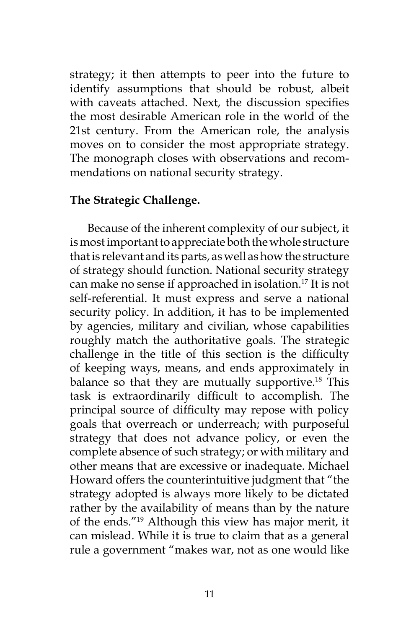strategy; it then attempts to peer into the future to identify assumptions that should be robust, albeit with caveats attached. Next, the discussion specifies the most desirable American role in the world of the 21st century. From the American role, the analysis moves on to consider the most appropriate strategy. The monograph closes with observations and recommendations on national security strategy.

### **The Strategic Challenge.**

Because of the inherent complexity of our subject, it is most important to appreciate both the whole structure that is relevant and its parts, as well as how the structure of strategy should function. National security strategy can make no sense if approached in isolation.<sup>17</sup> It is not self-referential. It must express and serve a national security policy. In addition, it has to be implemented by agencies, military and civilian, whose capabilities roughly match the authoritative goals. The strategic challenge in the title of this section is the difficulty of keeping ways, means, and ends approximately in balance so that they are mutually supportive.<sup>18</sup> This task is extraordinarily difficult to accomplish. The principal source of difficulty may repose with policy goals that overreach or underreach; with purposeful strategy that does not advance policy, or even the complete absence of such strategy; or with military and other means that are excessive or inadequate. Michael Howard offers the counterintuitive judgment that "the strategy adopted is always more likely to be dictated rather by the availability of means than by the nature of the ends."19 Although this view has major merit, it can mislead. While it is true to claim that as a general rule a government "makes war, not as one would like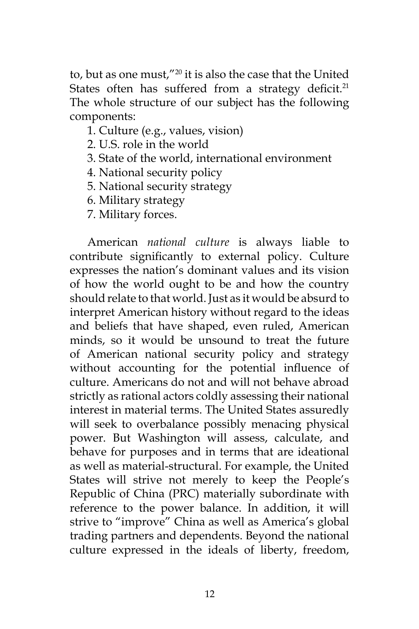to, but as one must,"20 it is also the case that the United States often has suffered from a strategy deficit.<sup>21</sup> The whole structure of our subject has the following components:

- 1. Culture (e.g., values, vision)
- 2. U.S. role in the world
- 3. State of the world, international environment
- 4. National security policy
- 5. National security strategy
- 6. Military strategy
- 7. Military forces.

American *national culture* is always liable to contribute significantly to external policy. Culture expresses the nation's dominant values and its vision of how the world ought to be and how the country should relate to that world. Just as it would be absurd to interpret American history without regard to the ideas and beliefs that have shaped, even ruled, American minds, so it would be unsound to treat the future of American national security policy and strategy without accounting for the potential influence of culture. Americans do not and will not behave abroad strictly as rational actors coldly assessing their national interest in material terms. The United States assuredly will seek to overbalance possibly menacing physical power. But Washington will assess, calculate, and behave for purposes and in terms that are ideational as well as material-structural. For example, the United States will strive not merely to keep the People's Republic of China (PRC) materially subordinate with reference to the power balance. In addition, it will strive to "improve" China as well as America's global trading partners and dependents. Beyond the national culture expressed in the ideals of liberty, freedom,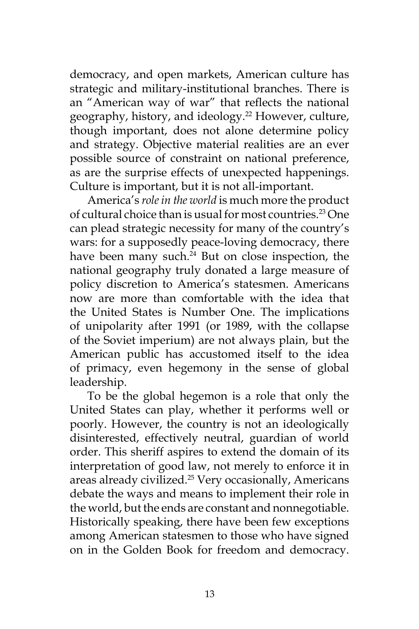democracy, and open markets, American culture has strategic and military-institutional branches. There is an "American way of war" that reflects the national geography, history, and ideology.<sup>22</sup> However, culture, though important, does not alone determine policy and strategy. Objective material realities are an ever possible source of constraint on national preference, as are the surprise effects of unexpected happenings. Culture is important, but it is not all-important.

America's *role in the world* is much more the product of cultural choice than is usual for most countries.<sup>23</sup> One can plead strategic necessity for many of the country's wars: for a supposedly peace-loving democracy, there have been many such.<sup>24</sup> But on close inspection, the national geography truly donated a large measure of policy discretion to America's statesmen. Americans now are more than comfortable with the idea that the United States is Number One. The implications of unipolarity after 1991 (or 1989, with the collapse of the Soviet imperium) are not always plain, but the American public has accustomed itself to the idea of primacy, even hegemony in the sense of global leadership.

To be the global hegemon is a role that only the United States can play, whether it performs well or poorly. However, the country is not an ideologically disinterested, effectively neutral, guardian of world order. This sheriff aspires to extend the domain of its interpretation of good law, not merely to enforce it in areas already civilized.<sup>25</sup> Very occasionally, Americans debate the ways and means to implement their role in the world, but the ends are constant and nonnegotiable. Historically speaking, there have been few exceptions among American statesmen to those who have signed on in the Golden Book for freedom and democracy.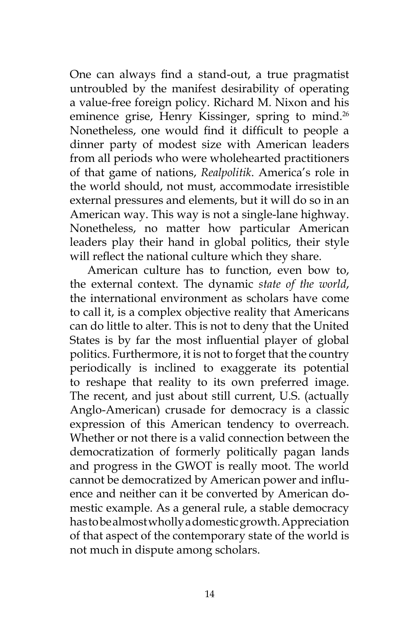One can always find a stand-out, a true pragmatist untroubled by the manifest desirability of operating a value-free foreign policy. Richard M. Nixon and his eminence grise, Henry Kissinger, spring to mind.<sup>26</sup> Nonetheless, one would find it difficult to people a dinner party of modest size with American leaders from all periods who were wholehearted practitioners of that game of nations, *Realpolitik*. America's role in the world should, not must, accommodate irresistible external pressures and elements, but it will do so in an American way. This way is not a single-lane highway. Nonetheless, no matter how particular American leaders play their hand in global politics, their style will reflect the national culture which they share.

American culture has to function, even bow to, the external context. The dynamic *state of the world*, the international environment as scholars have come to call it, is a complex objective reality that Americans can do little to alter. This is not to deny that the United States is by far the most influential player of global politics. Furthermore, it is not to forget that the country periodically is inclined to exaggerate its potential to reshape that reality to its own preferred image. The recent, and just about still current, U.S. (actually Anglo-American) crusade for democracy is a classic expression of this American tendency to overreach. Whether or not there is a valid connection between the democratization of formerly politically pagan lands and progress in the GWOT is really moot. The world cannot be democratized by American power and influence and neither can it be converted by American domestic example. As a general rule, a stable democracy has to be almost wholly a domestic growth. Appreciation of that aspect of the contemporary state of the world is not much in dispute among scholars.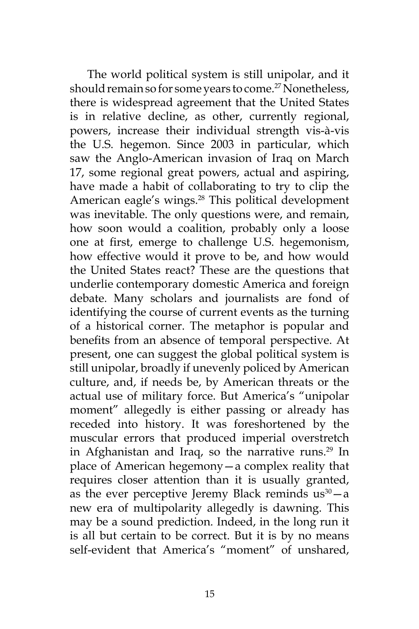The world political system is still unipolar, and it should remain so for some years to come.<sup>27</sup> Nonetheless, there is widespread agreement that the United States is in relative decline, as other, currently regional, powers, increase their individual strength vis-à-vis the U.S. hegemon. Since 2003 in particular, which saw the Anglo-American invasion of Iraq on March 17, some regional great powers, actual and aspiring, have made a habit of collaborating to try to clip the American eagle's wings.<sup>28</sup> This political development was inevitable. The only questions were, and remain, how soon would a coalition, probably only a loose one at first, emerge to challenge U.S. hegemonism, how effective would it prove to be, and how would the United States react? These are the questions that underlie contemporary domestic America and foreign debate. Many scholars and journalists are fond of identifying the course of current events as the turning of a historical corner. The metaphor is popular and benefits from an absence of temporal perspective. At present, one can suggest the global political system is still unipolar, broadly if unevenly policed by American culture, and, if needs be, by American threats or the actual use of military force. But America's "unipolar moment" allegedly is either passing or already has receded into history. It was foreshortened by the muscular errors that produced imperial overstretch in Afghanistan and Iraq, so the narrative runs.<sup>29</sup> In place of American hegemony—a complex reality that requires closer attention than it is usually granted, as the ever perceptive Jeremy Black reminds  $us^{30} - a$ new era of multipolarity allegedly is dawning. This may be a sound prediction. Indeed, in the long run it is all but certain to be correct. But it is by no means self-evident that America's "moment" of unshared,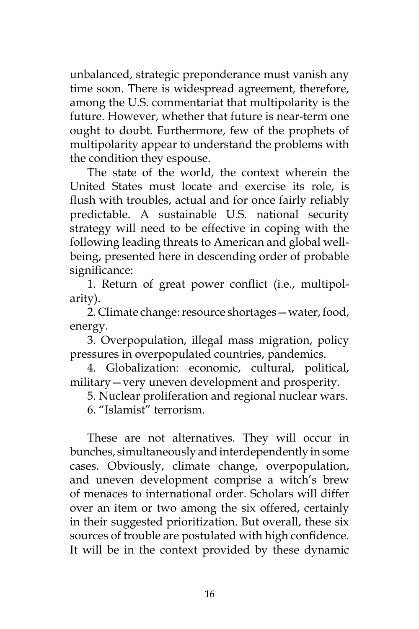unbalanced, strategic preponderance must vanish any time soon. There is widespread agreement, therefore, among the U.S. commentariat that multipolarity is the future. However, whether that future is near-term one ought to doubt. Furthermore, few of the prophets of multipolarity appear to understand the problems with the condition they espouse.

The state of the world, the context wherein the United States must locate and exercise its role, is flush with troubles, actual and for once fairly reliably predictable. A sustainable U.S. national security strategy will need to be effective in coping with the following leading threats to American and global wellbeing, presented here in descending order of probable significance:

1. Return of great power conflict (i.e., multipolarity).

2. Climate change: resource shortages—water, food, energy.

3. Overpopulation, illegal mass migration, policy pressures in overpopulated countries, pandemics.

4. Globalization: economic, cultural, political, military—very uneven development and prosperity.

5. Nuclear proliferation and regional nuclear wars.

6. "Islamist" terrorism.

These are not alternatives. They will occur in bunches, simultaneously and interdependently in some cases. Obviously, climate change, overpopulation, and uneven development comprise a witch's brew of menaces to international order. Scholars will differ over an item or two among the six offered, certainly in their suggested prioritization. But overall, these six sources of trouble are postulated with high confidence. It will be in the context provided by these dynamic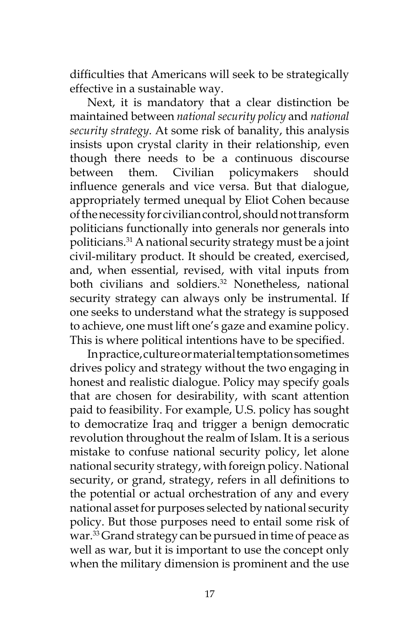difficulties that Americans will seek to be strategically effective in a sustainable way.

Next, it is mandatory that a clear distinction be maintained between *national security policy* and *national security strategy*. At some risk of banality, this analysis insists upon crystal clarity in their relationship, even though there needs to be a continuous discourse between them. Civilian policymakers should influence generals and vice versa. But that dialogue, appropriately termed unequal by Eliot Cohen because of the necessity for civilian control, should not transform politicians functionally into generals nor generals into politicians.31 A national security strategy must be a joint civil-military product. It should be created, exercised, and, when essential, revised, with vital inputs from both civilians and soldiers.<sup>32</sup> Nonetheless, national security strategy can always only be instrumental. If one seeks to understand what the strategy is supposed to achieve, one must lift one's gaze and examine policy. This is where political intentions have to be specified.

In practice, culture or material temptation sometimes drives policy and strategy without the two engaging in honest and realistic dialogue. Policy may specify goals that are chosen for desirability, with scant attention paid to feasibility. For example, U.S. policy has sought to democratize Iraq and trigger a benign democratic revolution throughout the realm of Islam. It is a serious mistake to confuse national security policy, let alone national security strategy, with foreign policy. National security, or grand, strategy, refers in all definitions to the potential or actual orchestration of any and every national asset for purposes selected by national security policy. But those purposes need to entail some risk of war.33 Grand strategy can be pursued in time of peace as well as war, but it is important to use the concept only when the military dimension is prominent and the use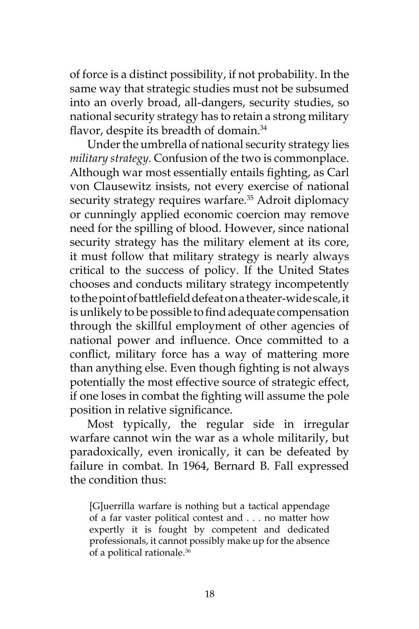of force is a distinct possibility, if not probability. In the same way that strategic studies must not be subsumed into an overly broad, all-dangers, security studies, so national security strategy has to retain a strong military flavor, despite its breadth of domain.<sup>34</sup>

Under the umbrella of national security strategy lies *military strategy*. Confusion of the two is commonplace. Although war most essentially entails fighting, as Carl von Clausewitz insists, not every exercise of national security strategy requires warfare.<sup>35</sup> Adroit diplomacy or cunningly applied economic coercion may remove need for the spilling of blood. However, since national security strategy has the military element at its core, it must follow that military strategy is nearly always critical to the success of policy. If the United States chooses and conducts military strategy incompetently to the point of battlefield defeat on a theater-wide scale, it is unlikely to be possible to find adequate compensation through the skillful employment of other agencies of national power and influence. Once committed to a conflict, military force has a way of mattering more than anything else. Even though fighting is not always potentially the most effective source of strategic effect, if one loses in combat the fighting will assume the pole position in relative significance.

Most typically, the regular side in irregular warfare cannot win the war as a whole militarily, but paradoxically, even ironically, it can be defeated by failure in combat. In 1964, Bernard B. Fall expressed the condition thus:

[G]uerrilla warfare is nothing but a tactical appendage of a far vaster political contest and . . . no matter how expertly it is fought by competent and dedicated professionals, it cannot possibly make up for the absence of a political rationale.36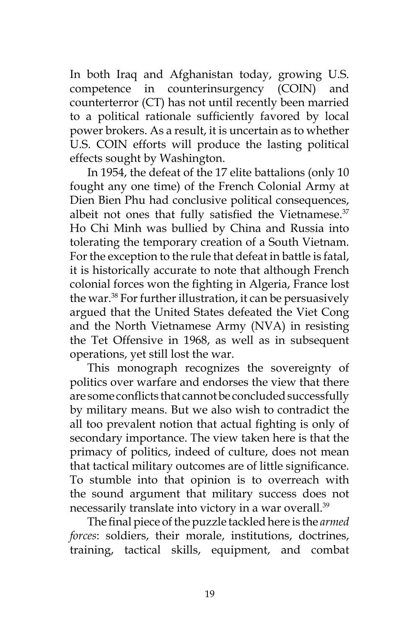In both Iraq and Afghanistan today, growing U.S. competence in counterinsurgency (COIN) and counterterror (CT) has not until recently been married to a political rationale sufficiently favored by local power brokers. As a result, it is uncertain as to whether U.S. COIN efforts will produce the lasting political effects sought by Washington.

In 1954, the defeat of the 17 elite battalions (only 10 fought any one time) of the French Colonial Army at Dien Bien Phu had conclusive political consequences, albeit not ones that fully satisfied the Vietnamese.<sup>37</sup> Ho Chi Minh was bullied by China and Russia into tolerating the temporary creation of a South Vietnam. For the exception to the rule that defeat in battle is fatal, it is historically accurate to note that although French colonial forces won the fighting in Algeria, France lost the war.<sup>38</sup> For further illustration, it can be persuasively argued that the United States defeated the Viet Cong and the North Vietnamese Army (NVA) in resisting the Tet Offensive in 1968, as well as in subsequent operations, yet still lost the war.

This monograph recognizes the sovereignty of politics over warfare and endorses the view that there are some conflicts that cannot be concluded successfully by military means. But we also wish to contradict the all too prevalent notion that actual fighting is only of secondary importance. The view taken here is that the primacy of politics, indeed of culture, does not mean that tactical military outcomes are of little significance. To stumble into that opinion is to overreach with the sound argument that military success does not necessarily translate into victory in a war overall.<sup>39</sup>

The final piece of the puzzle tackled here is the *armed forces*: soldiers, their morale, institutions, doctrines, training, tactical skills, equipment, and combat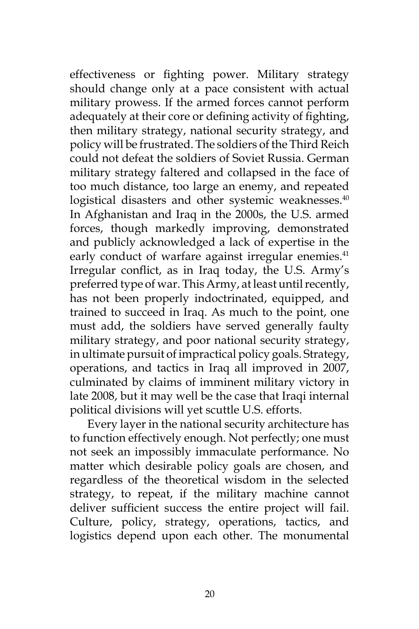effectiveness or fighting power. Military strategy should change only at a pace consistent with actual military prowess. If the armed forces cannot perform adequately at their core or defining activity of fighting, then military strategy, national security strategy, and policy will be frustrated. The soldiers of the Third Reich could not defeat the soldiers of Soviet Russia. German military strategy faltered and collapsed in the face of too much distance, too large an enemy, and repeated logistical disasters and other systemic weaknesses.<sup>40</sup> In Afghanistan and Iraq in the 2000s, the U.S. armed forces, though markedly improving, demonstrated and publicly acknowledged a lack of expertise in the early conduct of warfare against irregular enemies.<sup>41</sup> Irregular conflict, as in Iraq today, the U.S. Army's preferred type of war. This Army, at least until recently, has not been properly indoctrinated, equipped, and trained to succeed in Iraq. As much to the point, one must add, the soldiers have served generally faulty military strategy, and poor national security strategy, in ultimate pursuit of impractical policy goals. Strategy, operations, and tactics in Iraq all improved in 2007, culminated by claims of imminent military victory in late 2008, but it may well be the case that Iraqi internal political divisions will yet scuttle U.S. efforts.

Every layer in the national security architecture has to function effectively enough. Not perfectly; one must not seek an impossibly immaculate performance. No matter which desirable policy goals are chosen, and regardless of the theoretical wisdom in the selected strategy, to repeat, if the military machine cannot deliver sufficient success the entire project will fail. Culture, policy, strategy, operations, tactics, and logistics depend upon each other. The monumental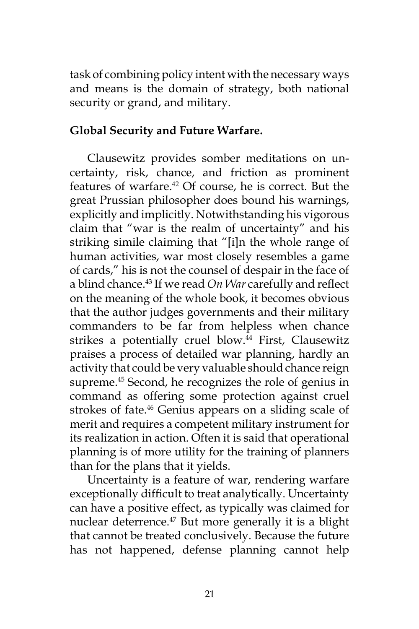task of combining policy intent with the necessary ways and means is the domain of strategy, both national security or grand, and military.

## **Global Security and Future Warfare.**

Clausewitz provides somber meditations on uncertainty, risk, chance, and friction as prominent features of warfare.42 Of course, he is correct. But the great Prussian philosopher does bound his warnings, explicitly and implicitly. Notwithstanding his vigorous claim that "war is the realm of uncertainty" and his striking simile claiming that "[i]n the whole range of human activities, war most closely resembles a game of cards," his is not the counsel of despair in the face of a blind chance.43 If we read *On War* carefully and reflect on the meaning of the whole book, it becomes obvious that the author judges governments and their military commanders to be far from helpless when chance strikes a potentially cruel blow.<sup>44</sup> First, Clausewitz praises a process of detailed war planning, hardly an activity that could be very valuable should chance reign supreme.<sup>45</sup> Second, he recognizes the role of genius in command as offering some protection against cruel strokes of fate.<sup>46</sup> Genius appears on a sliding scale of merit and requires a competent military instrument for its realization in action. Often it is said that operational planning is of more utility for the training of planners than for the plans that it yields.

Uncertainty is a feature of war, rendering warfare exceptionally difficult to treat analytically. Uncertainty can have a positive effect, as typically was claimed for nuclear deterrence.<sup>47</sup> But more generally it is a blight that cannot be treated conclusively. Because the future has not happened, defense planning cannot help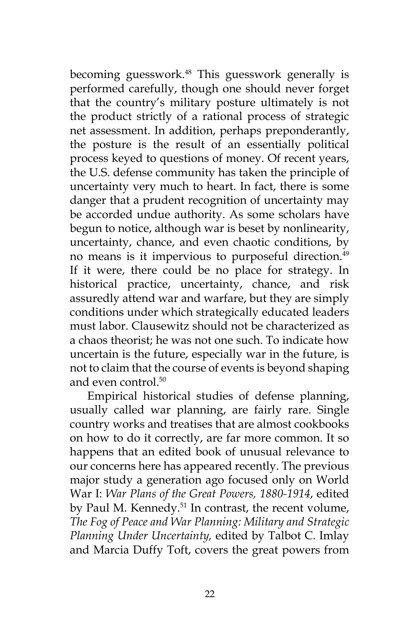becoming guesswork.<sup>48</sup> This guesswork generally is performed carefully, though one should never forget that the country's military posture ultimately is not the product strictly of a rational process of strategic net assessment. In addition, perhaps preponderantly, the posture is the result of an essentially political process keyed to questions of money. Of recent years, the U.S. defense community has taken the principle of uncertainty very much to heart. In fact, there is some danger that a prudent recognition of uncertainty may be accorded undue authority. As some scholars have begun to notice, although war is beset by nonlinearity, uncertainty, chance, and even chaotic conditions, by no means is it impervious to purposeful direction.<sup>49</sup> If it were, there could be no place for strategy. In historical practice, uncertainty, chance, and risk assuredly attend war and warfare, but they are simply conditions under which strategically educated leaders must labor. Clausewitz should not be characterized as a chaos theorist; he was not one such. To indicate how uncertain is the future, especially war in the future, is not to claim that the course of events is beyond shaping and even control.<sup>50</sup>

Empirical historical studies of defense planning, usually called war planning, are fairly rare. Single country works and treatises that are almost cookbooks on how to do it correctly, are far more common. It so happens that an edited book of unusual relevance to our concerns here has appeared recently. The previous major study a generation ago focused only on World War I: *War Plans of the Great Powers, 1880-1914*, edited by Paul M. Kennedy.<sup>51</sup> In contrast, the recent volume, *The Fog of Peace and War Planning: Military and Strategic Planning Under Uncertainty,* edited by Talbot C. Imlay and Marcia Duffy Toft, covers the great powers from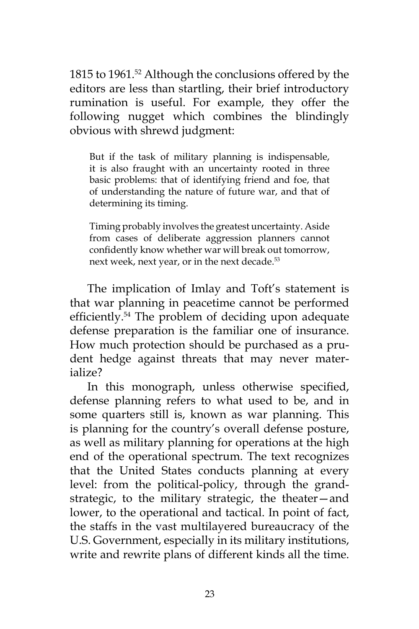1815 to 1961.52 Although the conclusions offered by the editors are less than startling, their brief introductory rumination is useful. For example, they offer the following nugget which combines the blindingly obvious with shrewd judgment:

But if the task of military planning is indispensable, it is also fraught with an uncertainty rooted in three basic problems: that of identifying friend and foe, that of understanding the nature of future war, and that of determining its timing.

Timing probably involves the greatest uncertainty. Aside from cases of deliberate aggression planners cannot confidently know whether war will break out tomorrow, next week, next year, or in the next decade.<sup>53</sup>

The implication of Imlay and Toft's statement is that war planning in peacetime cannot be performed efficiently.54 The problem of deciding upon adequate defense preparation is the familiar one of insurance. How much protection should be purchased as a prudent hedge against threats that may never materialize?

In this monograph, unless otherwise specified, defense planning refers to what used to be, and in some quarters still is, known as war planning. This is planning for the country's overall defense posture, as well as military planning for operations at the high end of the operational spectrum. The text recognizes that the United States conducts planning at every level: from the political-policy, through the grandstrategic, to the military strategic, the theater—and lower, to the operational and tactical. In point of fact, the staffs in the vast multilayered bureaucracy of the U.S. Government, especially in its military institutions, write and rewrite plans of different kinds all the time.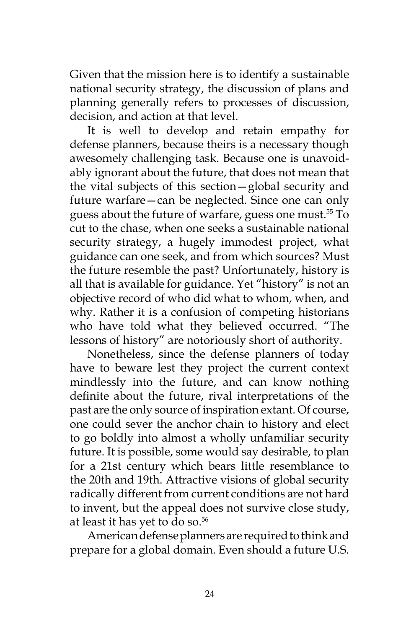Given that the mission here is to identify a sustainable national security strategy, the discussion of plans and planning generally refers to processes of discussion, decision, and action at that level.

It is well to develop and retain empathy for defense planners, because theirs is a necessary though awesomely challenging task. Because one is unavoidably ignorant about the future, that does not mean that the vital subjects of this section—global security and future warfare—can be neglected. Since one can only guess about the future of warfare, guess one must.<sup>55</sup> To cut to the chase, when one seeks a sustainable national security strategy, a hugely immodest project, what guidance can one seek, and from which sources? Must the future resemble the past? Unfortunately, history is all that is available for guidance. Yet "history" is not an objective record of who did what to whom, when, and why. Rather it is a confusion of competing historians who have told what they believed occurred. "The lessons of history" are notoriously short of authority.

Nonetheless, since the defense planners of today have to beware lest they project the current context mindlessly into the future, and can know nothing definite about the future, rival interpretations of the past are the only source of inspiration extant. Of course, one could sever the anchor chain to history and elect to go boldly into almost a wholly unfamiliar security future. It is possible, some would say desirable, to plan for a 21st century which bears little resemblance to the 20th and 19th. Attractive visions of global security radically different from current conditions are not hard to invent, but the appeal does not survive close study, at least it has yet to do so.<sup>56</sup>

American defense planners are required to think and prepare for a global domain. Even should a future U.S.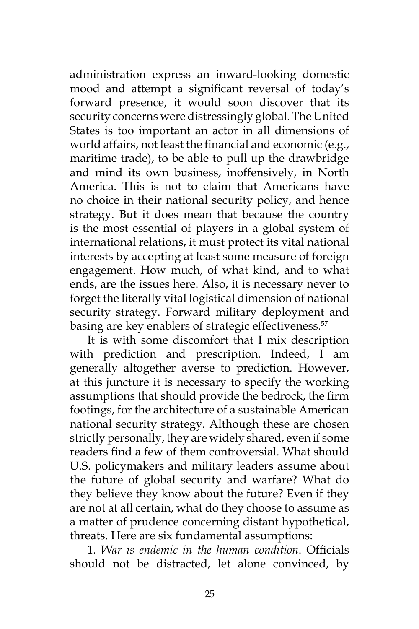administration express an inward-looking domestic mood and attempt a significant reversal of today's forward presence, it would soon discover that its security concerns were distressingly global. The United States is too important an actor in all dimensions of world affairs, not least the financial and economic (e.g., maritime trade), to be able to pull up the drawbridge and mind its own business, inoffensively, in North America. This is not to claim that Americans have no choice in their national security policy, and hence strategy. But it does mean that because the country is the most essential of players in a global system of international relations, it must protect its vital national interests by accepting at least some measure of foreign engagement. How much, of what kind, and to what ends, are the issues here. Also, it is necessary never to forget the literally vital logistical dimension of national security strategy. Forward military deployment and basing are key enablers of strategic effectiveness.<sup>57</sup>

It is with some discomfort that I mix description with prediction and prescription. Indeed, I am generally altogether averse to prediction. However, at this juncture it is necessary to specify the working assumptions that should provide the bedrock, the firm footings, for the architecture of a sustainable American national security strategy. Although these are chosen strictly personally, they are widely shared, even if some readers find a few of them controversial. What should U.S. policymakers and military leaders assume about the future of global security and warfare? What do they believe they know about the future? Even if they are not at all certain, what do they choose to assume as a matter of prudence concerning distant hypothetical, threats. Here are six fundamental assumptions:

1. *War is endemic in the human condition*. Officials should not be distracted, let alone convinced, by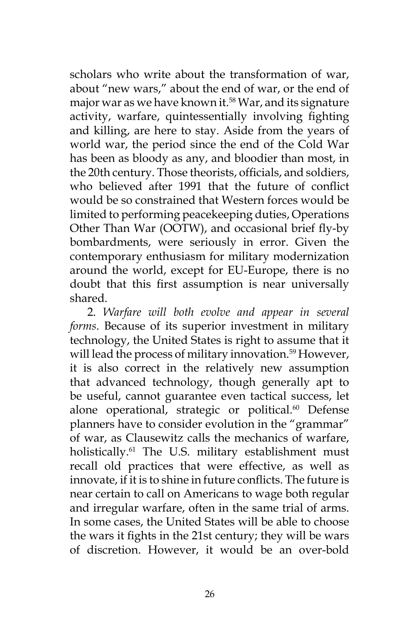scholars who write about the transformation of war, about "new wars," about the end of war, or the end of major war as we have known it.<sup>58</sup> War, and its signature activity, warfare, quintessentially involving fighting and killing, are here to stay. Aside from the years of world war, the period since the end of the Cold War has been as bloody as any, and bloodier than most, in the 20th century. Those theorists, officials, and soldiers, who believed after 1991 that the future of conflict would be so constrained that Western forces would be limited to performing peacekeeping duties, Operations Other Than War (OOTW), and occasional brief fly-by bombardments, were seriously in error. Given the contemporary enthusiasm for military modernization around the world, except for EU-Europe, there is no doubt that this first assumption is near universally shared.

2. *Warfare will both evolve and appear in several forms*. Because of its superior investment in military technology, the United States is right to assume that it will lead the process of military innovation.<sup>59</sup> However, it is also correct in the relatively new assumption that advanced technology, though generally apt to be useful, cannot guarantee even tactical success, let alone operational, strategic or political.<sup>60</sup> Defense planners have to consider evolution in the "grammar" of war, as Clausewitz calls the mechanics of warfare, holistically.<sup>61</sup> The U.S. military establishment must recall old practices that were effective, as well as innovate, if it is to shine in future conflicts. The future is near certain to call on Americans to wage both regular and irregular warfare, often in the same trial of arms. In some cases, the United States will be able to choose the wars it fights in the 21st century; they will be wars of discretion. However, it would be an over-bold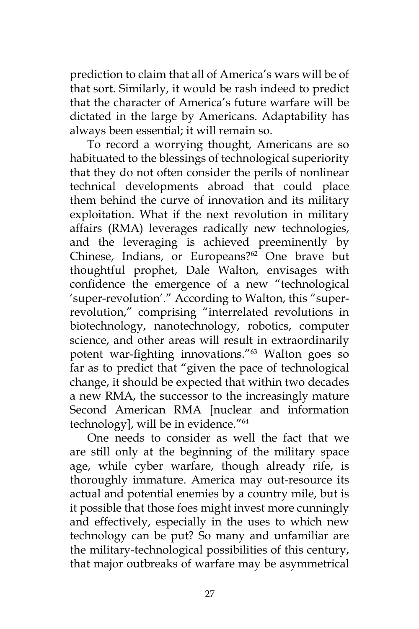prediction to claim that all of America's wars will be of that sort. Similarly, it would be rash indeed to predict that the character of America's future warfare will be dictated in the large by Americans. Adaptability has always been essential; it will remain so.

To record a worrying thought, Americans are so habituated to the blessings of technological superiority that they do not often consider the perils of nonlinear technical developments abroad that could place them behind the curve of innovation and its military exploitation. What if the next revolution in military affairs (RMA) leverages radically new technologies, and the leveraging is achieved preeminently by Chinese, Indians, or Europeans?<sup>62</sup> One brave but thoughtful prophet, Dale Walton, envisages with confidence the emergence of a new "technological 'super-revolution'." According to Walton, this "superrevolution," comprising "interrelated revolutions in biotechnology, nanotechnology, robotics, computer science, and other areas will result in extraordinarily potent war-fighting innovations."<sup>63</sup> Walton goes so far as to predict that "given the pace of technological change, it should be expected that within two decades a new RMA, the successor to the increasingly mature Second American RMA [nuclear and information technology], will be in evidence."64

One needs to consider as well the fact that we are still only at the beginning of the military space age, while cyber warfare, though already rife, is thoroughly immature. America may out-resource its actual and potential enemies by a country mile, but is it possible that those foes might invest more cunningly and effectively, especially in the uses to which new technology can be put? So many and unfamiliar are the military-technological possibilities of this century, that major outbreaks of warfare may be asymmetrical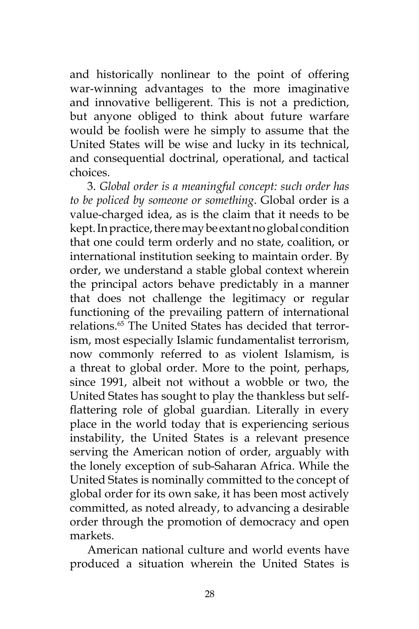and historically nonlinear to the point of offering war-winning advantages to the more imaginative and innovative belligerent. This is not a prediction, but anyone obliged to think about future warfare would be foolish were he simply to assume that the United States will be wise and lucky in its technical, and consequential doctrinal, operational, and tactical choices.

3. *Global order is a meaningful concept: such order has to be policed by someone or something*. Global order is a value-charged idea, as is the claim that it needs to be kept. In practice, there may be extant no global condition that one could term orderly and no state, coalition, or international institution seeking to maintain order. By order, we understand a stable global context wherein the principal actors behave predictably in a manner that does not challenge the legitimacy or regular functioning of the prevailing pattern of international relations.<sup>65</sup> The United States has decided that terrorism, most especially Islamic fundamentalist terrorism, now commonly referred to as violent Islamism, is a threat to global order. More to the point, perhaps, since 1991, albeit not without a wobble or two, the United States has sought to play the thankless but selfflattering role of global guardian. Literally in every place in the world today that is experiencing serious instability, the United States is a relevant presence serving the American notion of order, arguably with the lonely exception of sub-Saharan Africa. While the United States is nominally committed to the concept of global order for its own sake, it has been most actively committed, as noted already, to advancing a desirable order through the promotion of democracy and open markets.

American national culture and world events have produced a situation wherein the United States is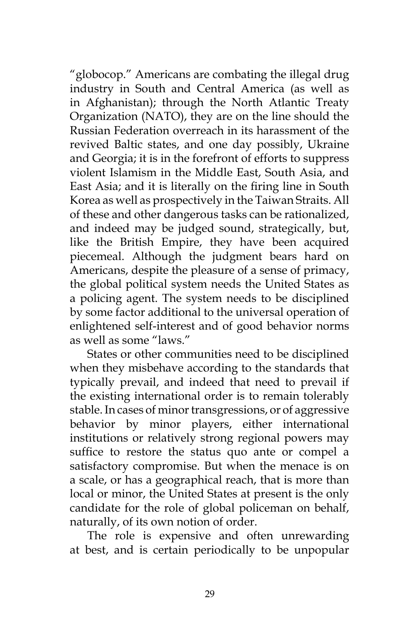"globocop." Americans are combating the illegal drug industry in South and Central America (as well as in Afghanistan); through the North Atlantic Treaty Organization (NATO), they are on the line should the Russian Federation overreach in its harassment of the revived Baltic states, and one day possibly, Ukraine and Georgia; it is in the forefront of efforts to suppress violent Islamism in the Middle East, South Asia, and East Asia; and it is literally on the firing line in South Korea as well as prospectively in the Taiwan Straits. All of these and other dangerous tasks can be rationalized, and indeed may be judged sound, strategically, but, like the British Empire, they have been acquired piecemeal. Although the judgment bears hard on Americans, despite the pleasure of a sense of primacy, the global political system needs the United States as a policing agent. The system needs to be disciplined by some factor additional to the universal operation of enlightened self-interest and of good behavior norms as well as some "laws."

States or other communities need to be disciplined when they misbehave according to the standards that typically prevail, and indeed that need to prevail if the existing international order is to remain tolerably stable. In cases of minor transgressions, or of aggressive behavior by minor players, either international institutions or relatively strong regional powers may suffice to restore the status quo ante or compel a satisfactory compromise. But when the menace is on a scale, or has a geographical reach, that is more than local or minor, the United States at present is the only candidate for the role of global policeman on behalf, naturally, of its own notion of order.

The role is expensive and often unrewarding at best, and is certain periodically to be unpopular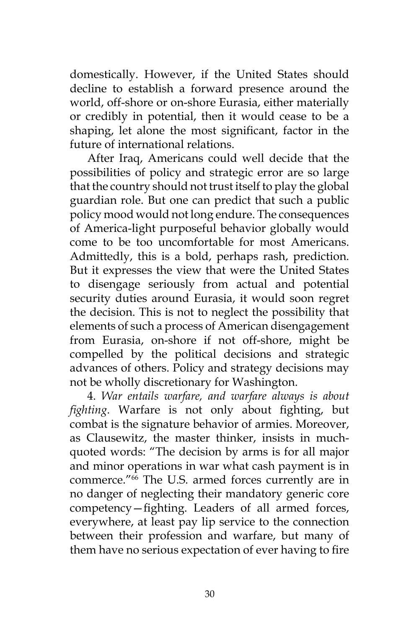domestically. However, if the United States should decline to establish a forward presence around the world, off-shore or on-shore Eurasia, either materially or credibly in potential, then it would cease to be a shaping, let alone the most significant, factor in the future of international relations.

After Iraq, Americans could well decide that the possibilities of policy and strategic error are so large that the country should not trust itself to play the global guardian role. But one can predict that such a public policy mood would not long endure. The consequences of America-light purposeful behavior globally would come to be too uncomfortable for most Americans. Admittedly, this is a bold, perhaps rash, prediction. But it expresses the view that were the United States to disengage seriously from actual and potential security duties around Eurasia, it would soon regret the decision. This is not to neglect the possibility that elements of such a process of American disengagement from Eurasia, on-shore if not off-shore, might be compelled by the political decisions and strategic advances of others. Policy and strategy decisions may not be wholly discretionary for Washington.

4. *War entails warfare, and warfare always is about fighting*. Warfare is not only about fighting, but combat is the signature behavior of armies. Moreover, as Clausewitz, the master thinker, insists in muchquoted words: "The decision by arms is for all major and minor operations in war what cash payment is in commerce."66 The U.S. armed forces currently are in no danger of neglecting their mandatory generic core competency—fighting. Leaders of all armed forces, everywhere, at least pay lip service to the connection between their profession and warfare, but many of them have no serious expectation of ever having to fire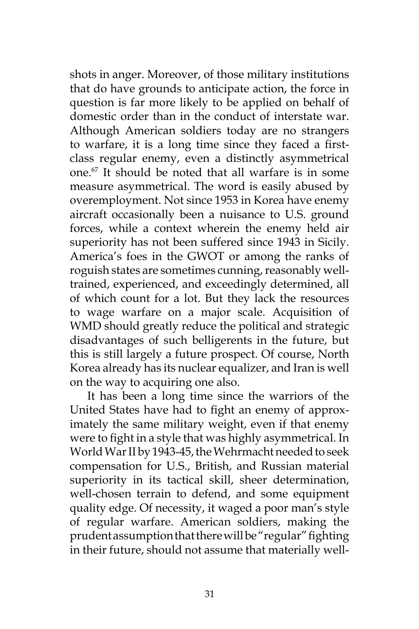shots in anger. Moreover, of those military institutions that do have grounds to anticipate action, the force in question is far more likely to be applied on behalf of domestic order than in the conduct of interstate war. Although American soldiers today are no strangers to warfare, it is a long time since they faced a firstclass regular enemy, even a distinctly asymmetrical one.67 It should be noted that all warfare is in some measure asymmetrical. The word is easily abused by overemployment. Not since 1953 in Korea have enemy aircraft occasionally been a nuisance to U.S. ground forces, while a context wherein the enemy held air superiority has not been suffered since 1943 in Sicily. America's foes in the GWOT or among the ranks of roguish states are sometimes cunning, reasonably welltrained, experienced, and exceedingly determined, all of which count for a lot. But they lack the resources to wage warfare on a major scale. Acquisition of WMD should greatly reduce the political and strategic disadvantages of such belligerents in the future, but this is still largely a future prospect. Of course, North Korea already has its nuclear equalizer, and Iran is well on the way to acquiring one also.

It has been a long time since the warriors of the United States have had to fight an enemy of approximately the same military weight, even if that enemy were to fight in a style that was highly asymmetrical. In World War II by 1943-45, the Wehrmacht needed to seek compensation for U.S., British, and Russian material superiority in its tactical skill, sheer determination, well-chosen terrain to defend, and some equipment quality edge. Of necessity, it waged a poor man's style of regular warfare. American soldiers, making the prudent assumption that there will be "regular" fighting in their future, should not assume that materially well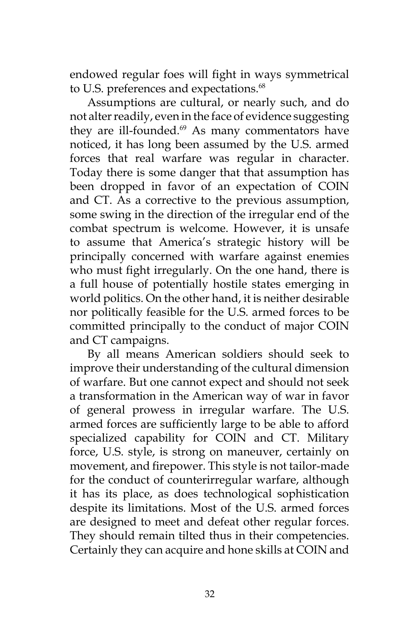endowed regular foes will fight in ways symmetrical to U.S. preferences and expectations.<sup>68</sup>

Assumptions are cultural, or nearly such, and do not alter readily, even in the face of evidence suggesting they are ill-founded. $69$  As many commentators have noticed, it has long been assumed by the U.S. armed forces that real warfare was regular in character. Today there is some danger that that assumption has been dropped in favor of an expectation of COIN and CT. As a corrective to the previous assumption, some swing in the direction of the irregular end of the combat spectrum is welcome. However, it is unsafe to assume that America's strategic history will be principally concerned with warfare against enemies who must fight irregularly. On the one hand, there is a full house of potentially hostile states emerging in world politics. On the other hand, it is neither desirable nor politically feasible for the U.S. armed forces to be committed principally to the conduct of major COIN and CT campaigns.

By all means American soldiers should seek to improve their understanding of the cultural dimension of warfare. But one cannot expect and should not seek a transformation in the American way of war in favor of general prowess in irregular warfare. The U.S. armed forces are sufficiently large to be able to afford specialized capability for COIN and CT. Military force, U.S. style, is strong on maneuver, certainly on movement, and firepower. This style is not tailor-made for the conduct of counterirregular warfare, although it has its place, as does technological sophistication despite its limitations. Most of the U.S. armed forces are designed to meet and defeat other regular forces. They should remain tilted thus in their competencies. Certainly they can acquire and hone skills at COIN and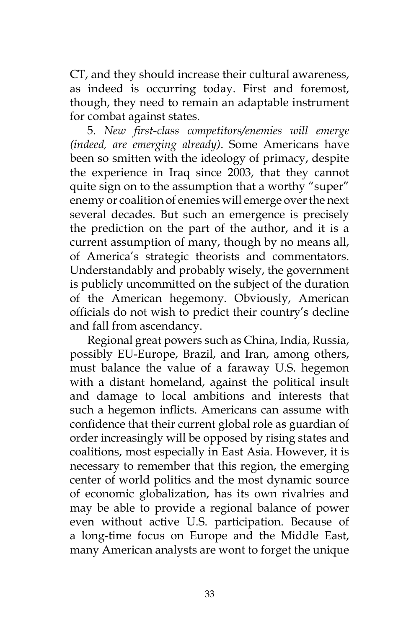CT, and they should increase their cultural awareness, as indeed is occurring today. First and foremost, though, they need to remain an adaptable instrument for combat against states.

5. *New first-class competitors/enemies will emerge (indeed, are emerging already)*. Some Americans have been so smitten with the ideology of primacy, despite the experience in Iraq since 2003, that they cannot quite sign on to the assumption that a worthy "super" enemy or coalition of enemies will emerge over the next several decades. But such an emergence is precisely the prediction on the part of the author, and it is a current assumption of many, though by no means all, of America's strategic theorists and commentators. Understandably and probably wisely, the government is publicly uncommitted on the subject of the duration of the American hegemony. Obviously, American officials do not wish to predict their country's decline and fall from ascendancy.

Regional great powers such as China, India, Russia, possibly EU-Europe, Brazil, and Iran, among others, must balance the value of a faraway U.S. hegemon with a distant homeland, against the political insult and damage to local ambitions and interests that such a hegemon inflicts. Americans can assume with confidence that their current global role as guardian of order increasingly will be opposed by rising states and coalitions, most especially in East Asia. However, it is necessary to remember that this region, the emerging center of world politics and the most dynamic source of economic globalization, has its own rivalries and may be able to provide a regional balance of power even without active U.S. participation. Because of a long-time focus on Europe and the Middle East, many American analysts are wont to forget the unique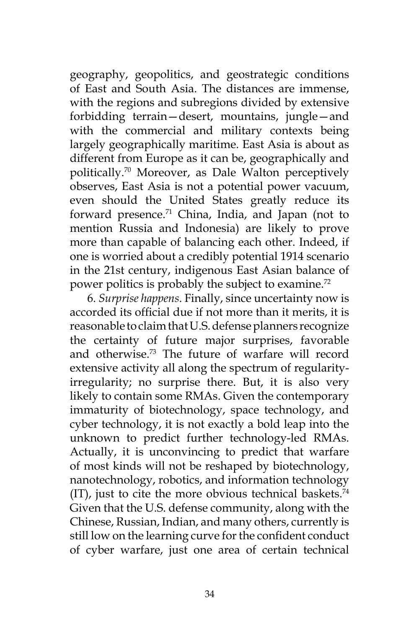geography, geopolitics, and geostrategic conditions of East and South Asia. The distances are immense, with the regions and subregions divided by extensive forbidding terrain—desert, mountains, jungle—and with the commercial and military contexts being largely geographically maritime. East Asia is about as different from Europe as it can be, geographically and politically.70 Moreover, as Dale Walton perceptively observes, East Asia is not a potential power vacuum, even should the United States greatly reduce its forward presence.<sup>71</sup> China, India, and Japan (not to mention Russia and Indonesia) are likely to prove more than capable of balancing each other. Indeed, if one is worried about a credibly potential 1914 scenario in the 21st century, indigenous East Asian balance of power politics is probably the subject to examine.72

6. *Surprise happens*. Finally, since uncertainty now is accorded its official due if not more than it merits, it is reasonable to claim that U.S. defense planners recognize the certainty of future major surprises, favorable and otherwise.73 The future of warfare will record extensive activity all along the spectrum of regularityirregularity; no surprise there. But, it is also very likely to contain some RMAs. Given the contemporary immaturity of biotechnology, space technology, and cyber technology, it is not exactly a bold leap into the unknown to predict further technology-led RMAs. Actually, it is unconvincing to predict that warfare of most kinds will not be reshaped by biotechnology, nanotechnology, robotics, and information technology (IT), just to cite the more obvious technical baskets.74 Given that the U.S. defense community, along with the Chinese, Russian, Indian, and many others, currently is still low on the learning curve for the confident conduct of cyber warfare, just one area of certain technical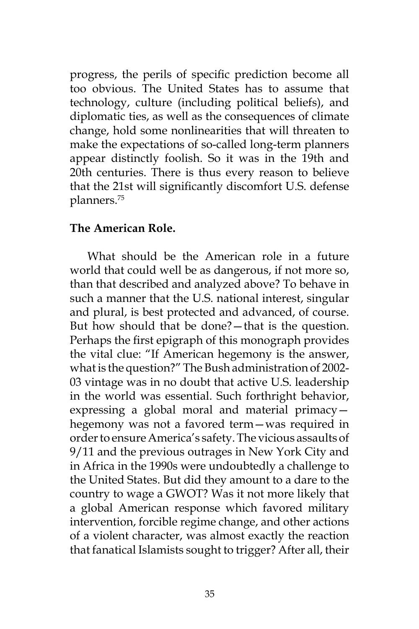progress, the perils of specific prediction become all too obvious. The United States has to assume that technology, culture (including political beliefs), and diplomatic ties, as well as the consequences of climate change, hold some nonlinearities that will threaten to make the expectations of so-called long-term planners appear distinctly foolish. So it was in the 19th and 20th centuries. There is thus every reason to believe that the 21st will significantly discomfort U.S. defense planners.75

## **The American Role.**

What should be the American role in a future world that could well be as dangerous, if not more so, than that described and analyzed above? To behave in such a manner that the U.S. national interest, singular and plural, is best protected and advanced, of course. But how should that be done?—that is the question. Perhaps the first epigraph of this monograph provides the vital clue: "If American hegemony is the answer, what is the question?" The Bush administration of 2002- 03 vintage was in no doubt that active U.S. leadership in the world was essential. Such forthright behavior, expressing a global moral and material primacy hegemony was not a favored term—was required in order to ensure America's safety. The vicious assaults of 9/11 and the previous outrages in New York City and in Africa in the 1990s were undoubtedly a challenge to the United States. But did they amount to a dare to the country to wage a GWOT? Was it not more likely that a global American response which favored military intervention, forcible regime change, and other actions of a violent character, was almost exactly the reaction that fanatical Islamists sought to trigger? After all, their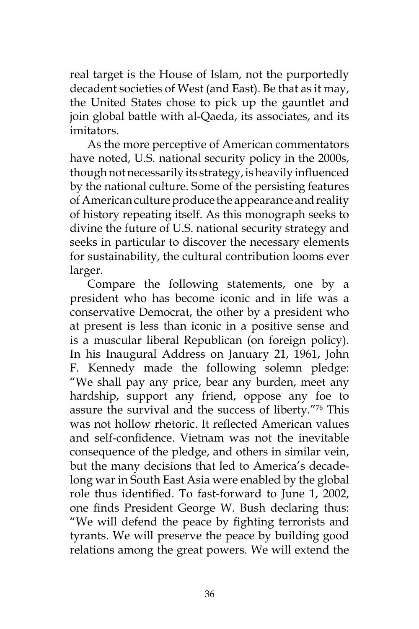real target is the House of Islam, not the purportedly decadent societies of West (and East). Be that as it may, the United States chose to pick up the gauntlet and join global battle with al-Qaeda, its associates, and its imitators.

As the more perceptive of American commentators have noted, U.S. national security policy in the 2000s, though not necessarily its strategy, is heavily influenced by the national culture. Some of the persisting features of American culture produce the appearance and reality of history repeating itself. As this monograph seeks to divine the future of U.S. national security strategy and seeks in particular to discover the necessary elements for sustainability, the cultural contribution looms ever larger.

Compare the following statements, one by a president who has become iconic and in life was a conservative Democrat, the other by a president who at present is less than iconic in a positive sense and is a muscular liberal Republican (on foreign policy). In his Inaugural Address on January 21, 1961, John F. Kennedy made the following solemn pledge: "We shall pay any price, bear any burden, meet any hardship, support any friend, oppose any foe to assure the survival and the success of liberty."76 This was not hollow rhetoric. It reflected American values and self-confidence. Vietnam was not the inevitable consequence of the pledge, and others in similar vein, but the many decisions that led to America's decadelong war in South East Asia were enabled by the global role thus identified. To fast-forward to June 1, 2002, one finds President George W. Bush declaring thus: "We will defend the peace by fighting terrorists and tyrants. We will preserve the peace by building good relations among the great powers. We will extend the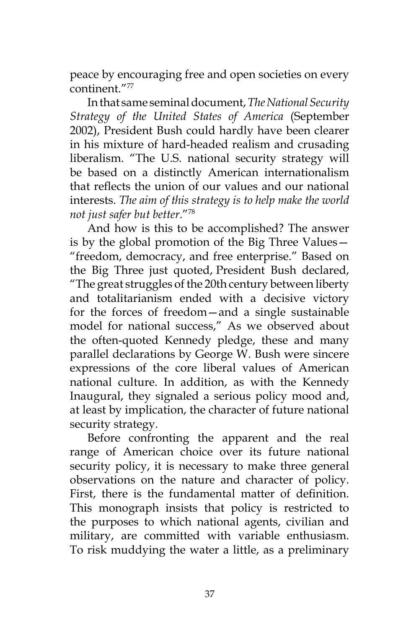peace by encouraging free and open societies on every continent<sup>"77</sup>

In that same seminal document, *The National Security Strategy of the United States of America* (September 2002), President Bush could hardly have been clearer in his mixture of hard-headed realism and crusading liberalism. "The U.S. national security strategy will be based on a distinctly American internationalism that reflects the union of our values and our national interests. *The aim of this strategy is to help make the world not just safer but better*."78

And how is this to be accomplished? The answer is by the global promotion of the Big Three Values— "freedom, democracy, and free enterprise." Based on the Big Three just quoted, President Bush declared, "The great struggles of the 20th century between liberty and totalitarianism ended with a decisive victory for the forces of freedom—and a single sustainable model for national success," As we observed about the often-quoted Kennedy pledge, these and many parallel declarations by George W. Bush were sincere expressions of the core liberal values of American national culture. In addition, as with the Kennedy Inaugural, they signaled a serious policy mood and, at least by implication, the character of future national security strategy.

Before confronting the apparent and the real range of American choice over its future national security policy, it is necessary to make three general observations on the nature and character of policy. First, there is the fundamental matter of definition. This monograph insists that policy is restricted to the purposes to which national agents, civilian and military, are committed with variable enthusiasm. To risk muddying the water a little, as a preliminary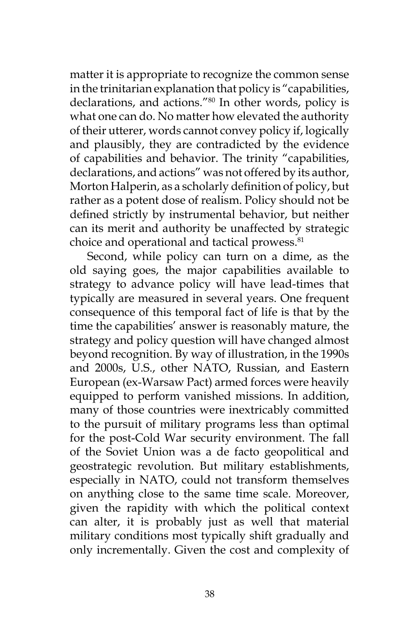matter it is appropriate to recognize the common sense in the trinitarian explanation that policy is "capabilities, declarations, and actions."80 In other words, policy is what one can do. No matter how elevated the authority of their utterer, words cannot convey policy if, logically and plausibly, they are contradicted by the evidence of capabilities and behavior. The trinity "capabilities, declarations, and actions" was not offered by its author, Morton Halperin, as a scholarly definition of policy, but rather as a potent dose of realism. Policy should not be defined strictly by instrumental behavior, but neither can its merit and authority be unaffected by strategic choice and operational and tactical prowess.<sup>81</sup>

Second, while policy can turn on a dime, as the old saying goes, the major capabilities available to strategy to advance policy will have lead-times that typically are measured in several years. One frequent consequence of this temporal fact of life is that by the time the capabilities' answer is reasonably mature, the strategy and policy question will have changed almost beyond recognition. By way of illustration, in the 1990s and 2000s, U.S., other NATO, Russian, and Eastern European (ex-Warsaw Pact) armed forces were heavily equipped to perform vanished missions. In addition, many of those countries were inextricably committed to the pursuit of military programs less than optimal for the post-Cold War security environment. The fall of the Soviet Union was a de facto geopolitical and geostrategic revolution. But military establishments, especially in NATO, could not transform themselves on anything close to the same time scale. Moreover, given the rapidity with which the political context can alter, it is probably just as well that material military conditions most typically shift gradually and only incrementally. Given the cost and complexity of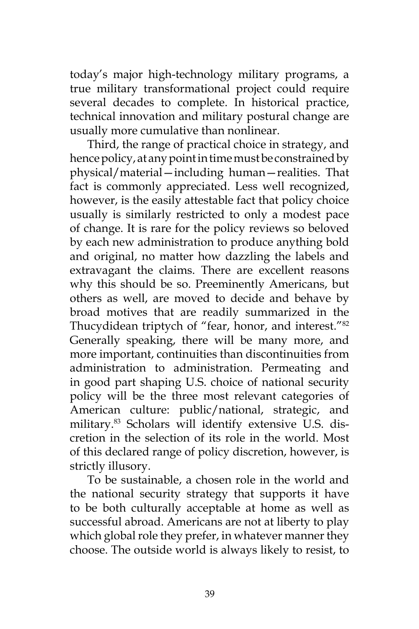today's major high-technology military programs, a true military transformational project could require several decades to complete. In historical practice, technical innovation and military postural change are usually more cumulative than nonlinear.

Third, the range of practical choice in strategy, and hence policy, at any point in time must be constrained by physical/material—including human—realities. That fact is commonly appreciated. Less well recognized, however, is the easily attestable fact that policy choice usually is similarly restricted to only a modest pace of change. It is rare for the policy reviews so beloved by each new administration to produce anything bold and original, no matter how dazzling the labels and extravagant the claims. There are excellent reasons why this should be so. Preeminently Americans, but others as well, are moved to decide and behave by broad motives that are readily summarized in the Thucydidean triptych of "fear, honor, and interest."<sup>82</sup> Generally speaking, there will be many more, and more important, continuities than discontinuities from administration to administration. Permeating and in good part shaping U.S. choice of national security policy will be the three most relevant categories of American culture: public/national, strategic, and military.83 Scholars will identify extensive U.S. discretion in the selection of its role in the world. Most of this declared range of policy discretion, however, is strictly illusory.

To be sustainable, a chosen role in the world and the national security strategy that supports it have to be both culturally acceptable at home as well as successful abroad. Americans are not at liberty to play which global role they prefer, in whatever manner they choose. The outside world is always likely to resist, to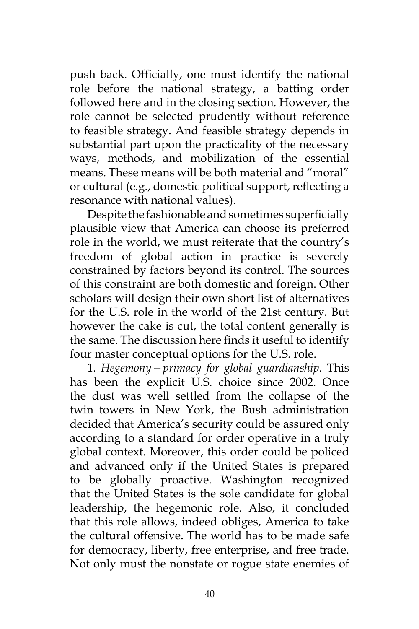push back. Officially, one must identify the national role before the national strategy, a batting order followed here and in the closing section. However, the role cannot be selected prudently without reference to feasible strategy. And feasible strategy depends in substantial part upon the practicality of the necessary ways, methods, and mobilization of the essential means. These means will be both material and "moral" or cultural (e.g., domestic political support, reflecting a resonance with national values).

Despite the fashionable and sometimes superficially plausible view that America can choose its preferred role in the world, we must reiterate that the country's freedom of global action in practice is severely constrained by factors beyond its control. The sources of this constraint are both domestic and foreign. Other scholars will design their own short list of alternatives for the U.S. role in the world of the 21st century. But however the cake is cut, the total content generally is the same. The discussion here finds it useful to identify four master conceptual options for the U.S. role.

1. *Hegemony—primacy for global guardianship*. This has been the explicit U.S. choice since 2002. Once the dust was well settled from the collapse of the twin towers in New York, the Bush administration decided that America's security could be assured only according to a standard for order operative in a truly global context. Moreover, this order could be policed and advanced only if the United States is prepared to be globally proactive. Washington recognized that the United States is the sole candidate for global leadership, the hegemonic role. Also, it concluded that this role allows, indeed obliges, America to take the cultural offensive. The world has to be made safe for democracy, liberty, free enterprise, and free trade. Not only must the nonstate or rogue state enemies of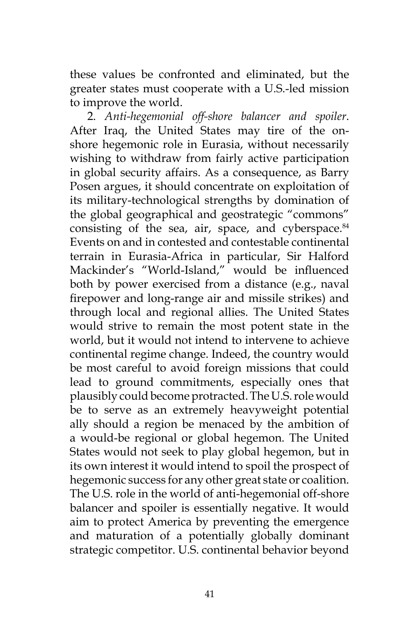these values be confronted and eliminated, but the greater states must cooperate with a U.S.-led mission to improve the world.

2. *Anti-hegemonial off-shore balancer and spoiler*. After Iraq, the United States may tire of the onshore hegemonic role in Eurasia, without necessarily wishing to withdraw from fairly active participation in global security affairs. As a consequence, as Barry Posen argues, it should concentrate on exploitation of its military-technological strengths by domination of the global geographical and geostrategic "commons" consisting of the sea, air, space, and cyberspace. $84$ Events on and in contested and contestable continental terrain in Eurasia-Africa in particular, Sir Halford Mackinder's "World-Island," would be influenced both by power exercised from a distance (e.g., naval firepower and long-range air and missile strikes) and through local and regional allies. The United States would strive to remain the most potent state in the world, but it would not intend to intervene to achieve continental regime change. Indeed, the country would be most careful to avoid foreign missions that could lead to ground commitments, especially ones that plausibly could become protracted. The U.S. role would be to serve as an extremely heavyweight potential ally should a region be menaced by the ambition of a would-be regional or global hegemon. The United States would not seek to play global hegemon, but in its own interest it would intend to spoil the prospect of hegemonic success for any other great state or coalition. The U.S. role in the world of anti-hegemonial off-shore balancer and spoiler is essentially negative. It would aim to protect America by preventing the emergence and maturation of a potentially globally dominant strategic competitor. U.S. continental behavior beyond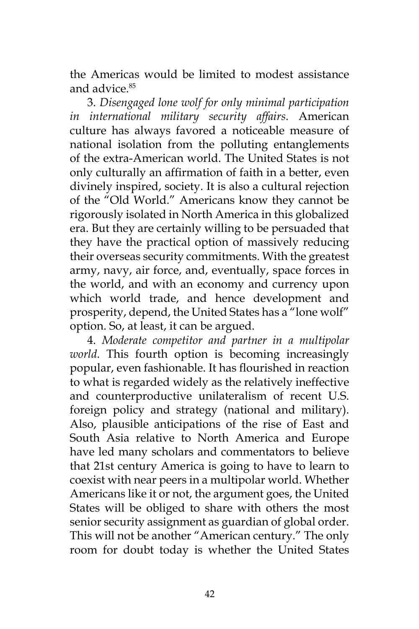the Americas would be limited to modest assistance and advice.<sup>85</sup>

3. *Disengaged lone wolf for only minimal participation in international military security affairs*. American culture has always favored a noticeable measure of national isolation from the polluting entanglements of the extra-American world. The United States is not only culturally an affirmation of faith in a better, even divinely inspired, society. It is also a cultural rejection of the "Old World." Americans know they cannot be rigorously isolated in North America in this globalized era. But they are certainly willing to be persuaded that they have the practical option of massively reducing their overseas security commitments. With the greatest army, navy, air force, and, eventually, space forces in the world, and with an economy and currency upon which world trade, and hence development and prosperity, depend, the United States has a "lone wolf" option. So, at least, it can be argued.

4. *Moderate competitor and partner in a multipolar world*. This fourth option is becoming increasingly popular, even fashionable. It has flourished in reaction to what is regarded widely as the relatively ineffective and counterproductive unilateralism of recent U.S. foreign policy and strategy (national and military). Also, plausible anticipations of the rise of East and South Asia relative to North America and Europe have led many scholars and commentators to believe that 21st century America is going to have to learn to coexist with near peers in a multipolar world. Whether Americans like it or not, the argument goes, the United States will be obliged to share with others the most senior security assignment as guardian of global order. This will not be another "American century." The only room for doubt today is whether the United States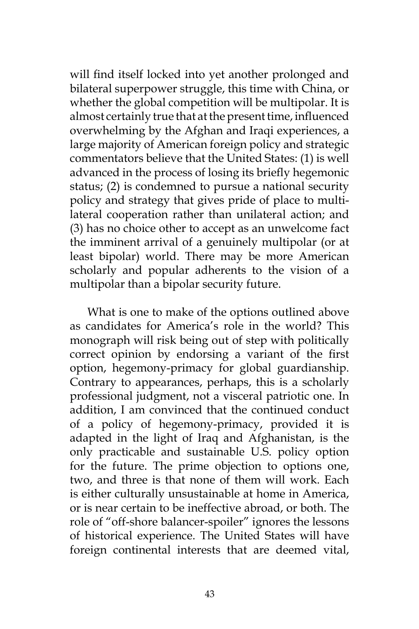will find itself locked into yet another prolonged and bilateral superpower struggle, this time with China, or whether the global competition will be multipolar. It is almost certainly true that at the present time, influenced overwhelming by the Afghan and Iraqi experiences, a large majority of American foreign policy and strategic commentators believe that the United States: (1) is well advanced in the process of losing its briefly hegemonic status; (2) is condemned to pursue a national security policy and strategy that gives pride of place to multilateral cooperation rather than unilateral action; and (3) has no choice other to accept as an unwelcome fact the imminent arrival of a genuinely multipolar (or at least bipolar) world. There may be more American scholarly and popular adherents to the vision of a multipolar than a bipolar security future.

What is one to make of the options outlined above as candidates for America's role in the world? This monograph will risk being out of step with politically correct opinion by endorsing a variant of the first option, hegemony-primacy for global guardianship. Contrary to appearances, perhaps, this is a scholarly professional judgment, not a visceral patriotic one. In addition, I am convinced that the continued conduct of a policy of hegemony-primacy, provided it is adapted in the light of Iraq and Afghanistan, is the only practicable and sustainable U.S. policy option for the future. The prime objection to options one, two, and three is that none of them will work. Each is either culturally unsustainable at home in America, or is near certain to be ineffective abroad, or both. The role of "off-shore balancer-spoiler" ignores the lessons of historical experience. The United States will have foreign continental interests that are deemed vital,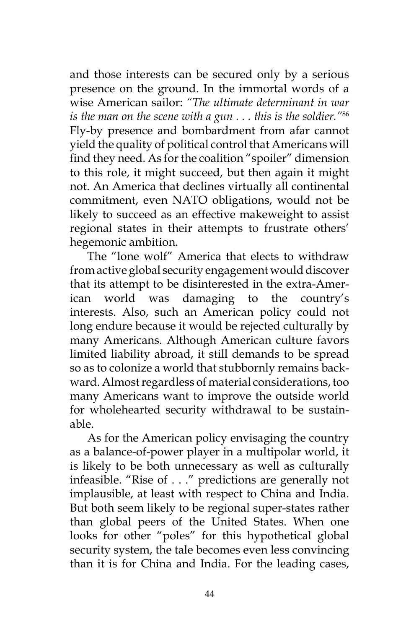and those interests can be secured only by a serious presence on the ground. In the immortal words of a wise American sailor: *"The ultimate determinant in war is the man on the scene with a gun . . . this is the soldier."*<sup>86</sup> Fly-by presence and bombardment from afar cannot yield the quality of political control that Americans will find they need. As for the coalition "spoiler" dimension to this role, it might succeed, but then again it might not. An America that declines virtually all continental commitment, even NATO obligations, would not be likely to succeed as an effective makeweight to assist regional states in their attempts to frustrate others' hegemonic ambition.

The "lone wolf" America that elects to withdraw from active global security engagement would discover that its attempt to be disinterested in the extra-American world was damaging to the country's interests. Also, such an American policy could not long endure because it would be rejected culturally by many Americans. Although American culture favors limited liability abroad, it still demands to be spread so as to colonize a world that stubbornly remains backward. Almost regardless of material considerations, too many Americans want to improve the outside world for wholehearted security withdrawal to be sustainable.

As for the American policy envisaging the country as a balance-of-power player in a multipolar world, it is likely to be both unnecessary as well as culturally infeasible. "Rise of . . ." predictions are generally not implausible, at least with respect to China and India. But both seem likely to be regional super-states rather than global peers of the United States. When one looks for other "poles" for this hypothetical global security system, the tale becomes even less convincing than it is for China and India. For the leading cases,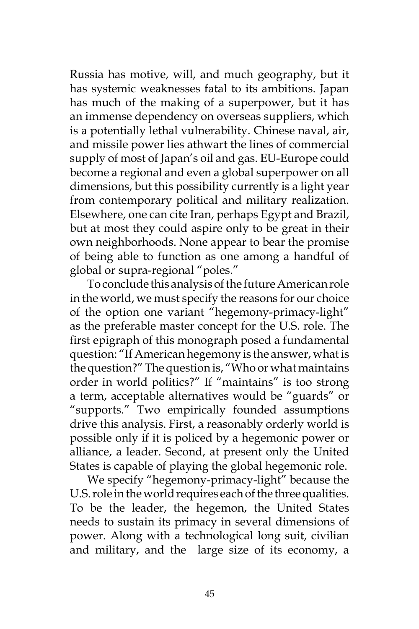Russia has motive, will, and much geography, but it has systemic weaknesses fatal to its ambitions. Japan has much of the making of a superpower, but it has an immense dependency on overseas suppliers, which is a potentially lethal vulnerability. Chinese naval, air, and missile power lies athwart the lines of commercial supply of most of Japan's oil and gas. EU-Europe could become a regional and even a global superpower on all dimensions, but this possibility currently is a light year from contemporary political and military realization. Elsewhere, one can cite Iran, perhaps Egypt and Brazil, but at most they could aspire only to be great in their own neighborhoods. None appear to bear the promise of being able to function as one among a handful of global or supra-regional "poles."

To conclude this analysis of the future American role in the world, we must specify the reasons for our choice of the option one variant "hegemony-primacy-light" as the preferable master concept for the U.S. role. The first epigraph of this monograph posed a fundamental question: "If American hegemony is the answer, what is the question?" The question is, "Who or what maintains order in world politics?" If "maintains" is too strong a term, acceptable alternatives would be "guards" or "supports." Two empirically founded assumptions drive this analysis. First, a reasonably orderly world is possible only if it is policed by a hegemonic power or alliance, a leader. Second, at present only the United States is capable of playing the global hegemonic role.

We specify "hegemony-primacy-light" because the U.S. role in the world requires each of the three qualities. To be the leader, the hegemon, the United States needs to sustain its primacy in several dimensions of power. Along with a technological long suit, civilian and military, and the large size of its economy, a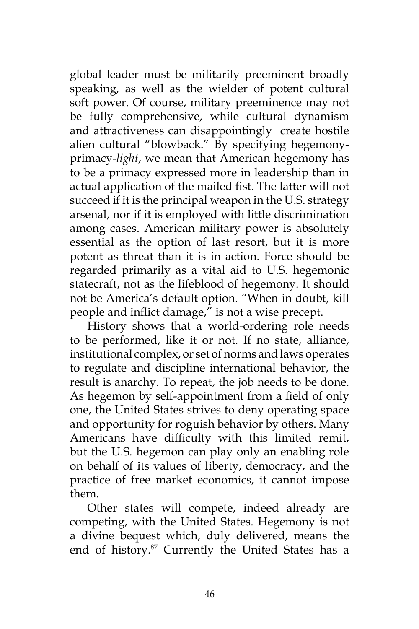global leader must be militarily preeminent broadly speaking, as well as the wielder of potent cultural soft power. Of course, military preeminence may not be fully comprehensive, while cultural dynamism and attractiveness can disappointingly create hostile alien cultural "blowback." By specifying hegemonyprimacy-*light*, we mean that American hegemony has to be a primacy expressed more in leadership than in actual application of the mailed fist. The latter will not succeed if it is the principal weapon in the U.S. strategy arsenal, nor if it is employed with little discrimination among cases. American military power is absolutely essential as the option of last resort, but it is more potent as threat than it is in action. Force should be regarded primarily as a vital aid to U.S. hegemonic statecraft, not as the lifeblood of hegemony. It should not be America's default option. "When in doubt, kill people and inflict damage," is not a wise precept.

History shows that a world-ordering role needs to be performed, like it or not. If no state, alliance, institutional complex, or set of norms and laws operates to regulate and discipline international behavior, the result is anarchy. To repeat, the job needs to be done. As hegemon by self-appointment from a field of only one, the United States strives to deny operating space and opportunity for roguish behavior by others. Many Americans have difficulty with this limited remit, but the U.S. hegemon can play only an enabling role on behalf of its values of liberty, democracy, and the practice of free market economics, it cannot impose them.

Other states will compete, indeed already are competing, with the United States. Hegemony is not a divine bequest which, duly delivered, means the end of history.<sup>87</sup> Currently the United States has a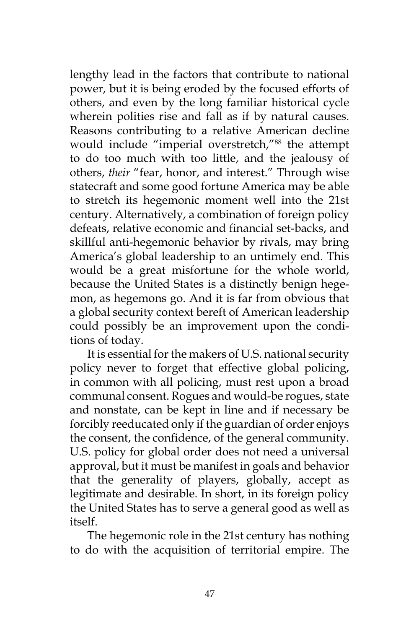lengthy lead in the factors that contribute to national power, but it is being eroded by the focused efforts of others, and even by the long familiar historical cycle wherein polities rise and fall as if by natural causes. Reasons contributing to a relative American decline would include "imperial overstretch,"<sup>88</sup> the attempt to do too much with too little, and the jealousy of others, *their* "fear, honor, and interest." Through wise statecraft and some good fortune America may be able to stretch its hegemonic moment well into the 21st century. Alternatively, a combination of foreign policy defeats, relative economic and financial set-backs, and skillful anti-hegemonic behavior by rivals, may bring America's global leadership to an untimely end. This would be a great misfortune for the whole world, because the United States is a distinctly benign hegemon, as hegemons go. And it is far from obvious that a global security context bereft of American leadership could possibly be an improvement upon the conditions of today.

It is essential for the makers of U.S. national security policy never to forget that effective global policing, in common with all policing, must rest upon a broad communal consent. Rogues and would-be rogues, state and nonstate, can be kept in line and if necessary be forcibly reeducated only if the guardian of order enjoys the consent, the confidence, of the general community. U.S. policy for global order does not need a universal approval, but it must be manifest in goals and behavior that the generality of players, globally, accept as legitimate and desirable. In short, in its foreign policy the United States has to serve a general good as well as itself.

The hegemonic role in the 21st century has nothing to do with the acquisition of territorial empire. The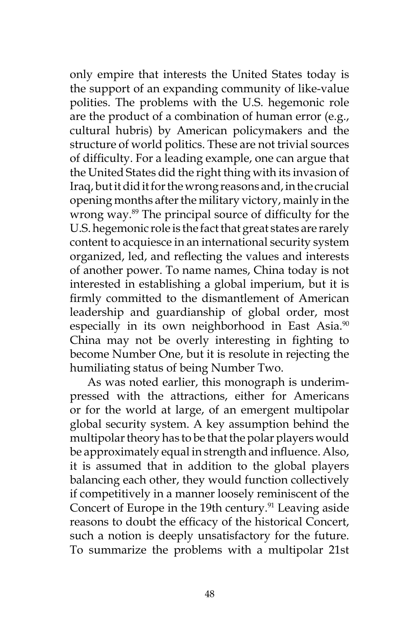only empire that interests the United States today is the support of an expanding community of like-value polities. The problems with the U.S. hegemonic role are the product of a combination of human error (e.g., cultural hubris) by American policymakers and the structure of world politics. These are not trivial sources of difficulty. For a leading example, one can argue that the United States did the right thing with its invasion of Iraq, but it did it for the wrong reasons and, in the crucial opening months after the military victory, mainly in the wrong way.<sup>89</sup> The principal source of difficulty for the U.S. hegemonic role is the fact that great states are rarely content to acquiesce in an international security system organized, led, and reflecting the values and interests of another power. To name names, China today is not interested in establishing a global imperium, but it is firmly committed to the dismantlement of American leadership and guardianship of global order, most especially in its own neighborhood in East Asia.<sup>90</sup> China may not be overly interesting in fighting to become Number One, but it is resolute in rejecting the humiliating status of being Number Two.

As was noted earlier, this monograph is underimpressed with the attractions, either for Americans or for the world at large, of an emergent multipolar global security system. A key assumption behind the multipolar theory has to be that the polar players would be approximately equal in strength and influence. Also, it is assumed that in addition to the global players balancing each other, they would function collectively if competitively in a manner loosely reminiscent of the Concert of Europe in the 19th century.<sup>91</sup> Leaving aside reasons to doubt the efficacy of the historical Concert, such a notion is deeply unsatisfactory for the future. To summarize the problems with a multipolar 21st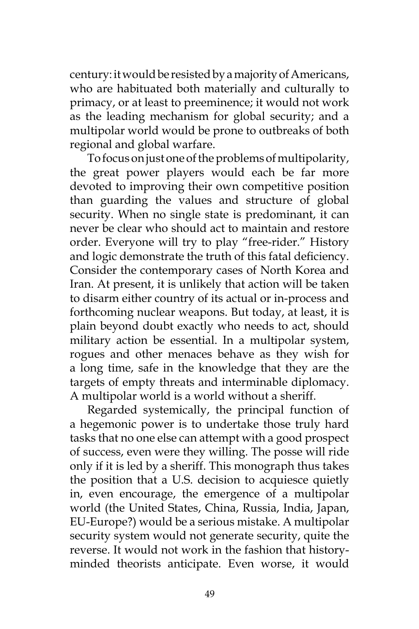century: it would be resisted by a majority of Americans, who are habituated both materially and culturally to primacy, or at least to preeminence; it would not work as the leading mechanism for global security; and a multipolar world would be prone to outbreaks of both regional and global warfare.

To focus on just one of the problems of multipolarity, the great power players would each be far more devoted to improving their own competitive position than guarding the values and structure of global security. When no single state is predominant, it can never be clear who should act to maintain and restore order. Everyone will try to play "free-rider." History and logic demonstrate the truth of this fatal deficiency. Consider the contemporary cases of North Korea and Iran. At present, it is unlikely that action will be taken to disarm either country of its actual or in-process and forthcoming nuclear weapons. But today, at least, it is plain beyond doubt exactly who needs to act, should military action be essential. In a multipolar system, rogues and other menaces behave as they wish for a long time, safe in the knowledge that they are the targets of empty threats and interminable diplomacy. A multipolar world is a world without a sheriff.

Regarded systemically, the principal function of a hegemonic power is to undertake those truly hard tasks that no one else can attempt with a good prospect of success, even were they willing. The posse will ride only if it is led by a sheriff. This monograph thus takes the position that a U.S. decision to acquiesce quietly in, even encourage, the emergence of a multipolar world (the United States, China, Russia, India, Japan, EU-Europe?) would be a serious mistake. A multipolar security system would not generate security, quite the reverse. It would not work in the fashion that historyminded theorists anticipate. Even worse, it would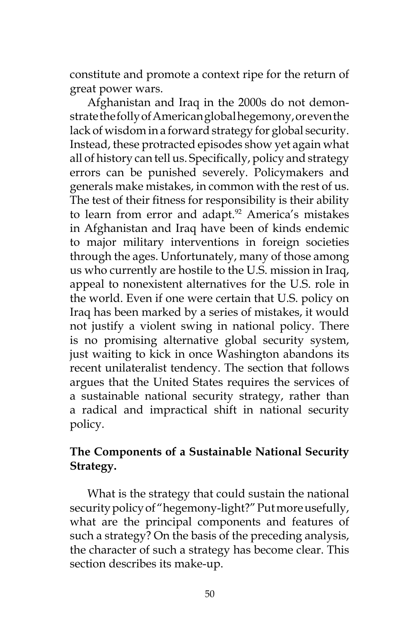constitute and promote a context ripe for the return of great power wars.

Afghanistan and Iraq in the 2000s do not demonstrate the folly of American global hegemony, or even the lack of wisdom in a forward strategy for global security. Instead, these protracted episodes show yet again what all of history can tell us. Specifically, policy and strategy errors can be punished severely. Policymakers and generals make mistakes, in common with the rest of us. The test of their fitness for responsibility is their ability to learn from error and adapt.<sup>92</sup> America's mistakes in Afghanistan and Iraq have been of kinds endemic to major military interventions in foreign societies through the ages. Unfortunately, many of those among us who currently are hostile to the U.S. mission in Iraq, appeal to nonexistent alternatives for the U.S. role in the world. Even if one were certain that U.S. policy on Iraq has been marked by a series of mistakes, it would not justify a violent swing in national policy. There is no promising alternative global security system, just waiting to kick in once Washington abandons its recent unilateralist tendency. The section that follows argues that the United States requires the services of a sustainable national security strategy, rather than a radical and impractical shift in national security policy.

## **The Components of a Sustainable National Security Strategy.**

What is the strategy that could sustain the national security policy of "hegemony-light?" Put more usefully, what are the principal components and features of such a strategy? On the basis of the preceding analysis, the character of such a strategy has become clear. This section describes its make-up.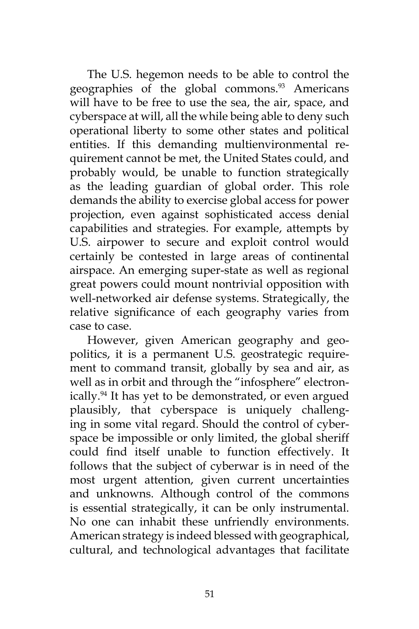The U.S. hegemon needs to be able to control the geographies of the global commons.<sup>93</sup> Americans will have to be free to use the sea, the air, space, and cyberspace at will, all the while being able to deny such operational liberty to some other states and political entities. If this demanding multienvironmental requirement cannot be met, the United States could, and probably would, be unable to function strategically as the leading guardian of global order. This role demands the ability to exercise global access for power projection, even against sophisticated access denial capabilities and strategies. For example, attempts by U.S. airpower to secure and exploit control would certainly be contested in large areas of continental airspace. An emerging super-state as well as regional great powers could mount nontrivial opposition with well-networked air defense systems. Strategically, the relative significance of each geography varies from case to case.

However, given American geography and geopolitics, it is a permanent U.S. geostrategic requirement to command transit, globally by sea and air, as well as in orbit and through the "infosphere" electronically.<sup>94</sup> It has yet to be demonstrated, or even argued plausibly, that cyberspace is uniquely challenging in some vital regard. Should the control of cyberspace be impossible or only limited, the global sheriff could find itself unable to function effectively. It follows that the subject of cyberwar is in need of the most urgent attention, given current uncertainties and unknowns. Although control of the commons is essential strategically, it can be only instrumental. No one can inhabit these unfriendly environments. American strategy is indeed blessed with geographical, cultural, and technological advantages that facilitate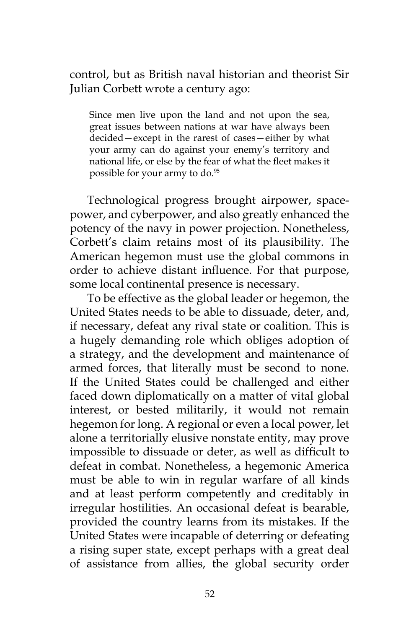control, but as British naval historian and theorist Sir Julian Corbett wrote a century ago:

Since men live upon the land and not upon the sea, great issues between nations at war have always been decided—except in the rarest of cases—either by what your army can do against your enemy's territory and national life, or else by the fear of what the fleet makes it possible for your army to do.95

Technological progress brought airpower, spacepower, and cyberpower, and also greatly enhanced the potency of the navy in power projection. Nonetheless, Corbett's claim retains most of its plausibility. The American hegemon must use the global commons in order to achieve distant influence. For that purpose, some local continental presence is necessary.

To be effective as the global leader or hegemon, the United States needs to be able to dissuade, deter, and, if necessary, defeat any rival state or coalition. This is a hugely demanding role which obliges adoption of a strategy, and the development and maintenance of armed forces, that literally must be second to none. If the United States could be challenged and either faced down diplomatically on a matter of vital global interest, or bested militarily, it would not remain hegemon for long. A regional or even a local power, let alone a territorially elusive nonstate entity, may prove impossible to dissuade or deter, as well as difficult to defeat in combat. Nonetheless, a hegemonic America must be able to win in regular warfare of all kinds and at least perform competently and creditably in irregular hostilities. An occasional defeat is bearable, provided the country learns from its mistakes. If the United States were incapable of deterring or defeating a rising super state, except perhaps with a great deal of assistance from allies, the global security order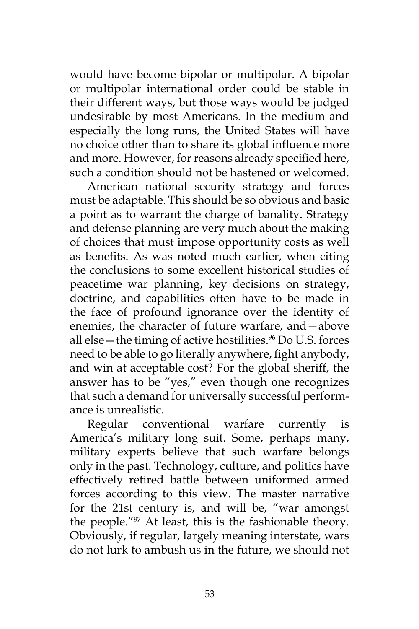would have become bipolar or multipolar. A bipolar or multipolar international order could be stable in their different ways, but those ways would be judged undesirable by most Americans. In the medium and especially the long runs, the United States will have no choice other than to share its global influence more and more. However, for reasons already specified here, such a condition should not be hastened or welcomed.

American national security strategy and forces must be adaptable. This should be so obvious and basic a point as to warrant the charge of banality. Strategy and defense planning are very much about the making of choices that must impose opportunity costs as well as benefits. As was noted much earlier, when citing the conclusions to some excellent historical studies of peacetime war planning, key decisions on strategy, doctrine, and capabilities often have to be made in the face of profound ignorance over the identity of enemies, the character of future warfare, and—above all else — the timing of active hostilities. $96$  Do U.S. forces need to be able to go literally anywhere, fight anybody, and win at acceptable cost? For the global sheriff, the answer has to be "yes," even though one recognizes that such a demand for universally successful performance is unrealistic.

Regular conventional warfare currently is America's military long suit. Some, perhaps many, military experts believe that such warfare belongs only in the past. Technology, culture, and politics have effectively retired battle between uniformed armed forces according to this view. The master narrative for the 21st century is, and will be, "war amongst the people."97 At least, this is the fashionable theory. Obviously, if regular, largely meaning interstate, wars do not lurk to ambush us in the future, we should not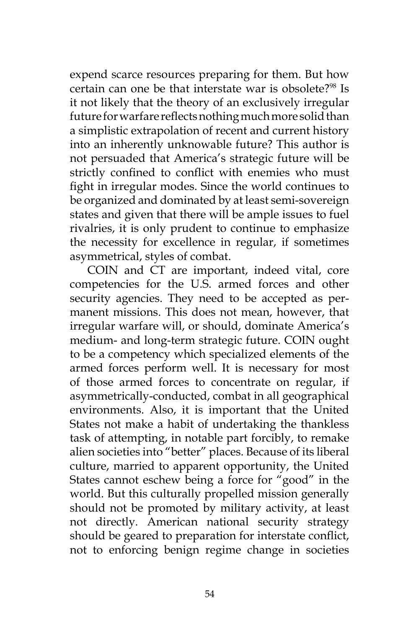expend scarce resources preparing for them. But how certain can one be that interstate war is obsolete?<sup>98</sup> Is it not likely that the theory of an exclusively irregular future for warfare reflects nothing much more solid than a simplistic extrapolation of recent and current history into an inherently unknowable future? This author is not persuaded that America's strategic future will be strictly confined to conflict with enemies who must fight in irregular modes. Since the world continues to be organized and dominated by at least semi-sovereign states and given that there will be ample issues to fuel rivalries, it is only prudent to continue to emphasize the necessity for excellence in regular, if sometimes asymmetrical, styles of combat.

COIN and CT are important, indeed vital, core competencies for the U.S. armed forces and other security agencies. They need to be accepted as permanent missions. This does not mean, however, that irregular warfare will, or should, dominate America's medium- and long-term strategic future. COIN ought to be a competency which specialized elements of the armed forces perform well. It is necessary for most of those armed forces to concentrate on regular, if asymmetrically-conducted, combat in all geographical environments. Also, it is important that the United States not make a habit of undertaking the thankless task of attempting, in notable part forcibly, to remake alien societies into "better" places. Because of its liberal culture, married to apparent opportunity, the United States cannot eschew being a force for "good" in the world. But this culturally propelled mission generally should not be promoted by military activity, at least not directly. American national security strategy should be geared to preparation for interstate conflict, not to enforcing benign regime change in societies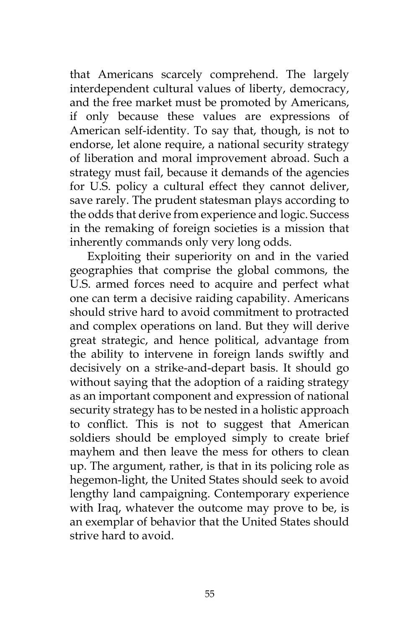that Americans scarcely comprehend. The largely interdependent cultural values of liberty, democracy, and the free market must be promoted by Americans, if only because these values are expressions of American self-identity. To say that, though, is not to endorse, let alone require, a national security strategy of liberation and moral improvement abroad. Such a strategy must fail, because it demands of the agencies for U.S. policy a cultural effect they cannot deliver, save rarely. The prudent statesman plays according to the odds that derive from experience and logic. Success in the remaking of foreign societies is a mission that inherently commands only very long odds.

Exploiting their superiority on and in the varied geographies that comprise the global commons, the U.S. armed forces need to acquire and perfect what one can term a decisive raiding capability. Americans should strive hard to avoid commitment to protracted and complex operations on land. But they will derive great strategic, and hence political, advantage from the ability to intervene in foreign lands swiftly and decisively on a strike-and-depart basis. It should go without saying that the adoption of a raiding strategy as an important component and expression of national security strategy has to be nested in a holistic approach to conflict. This is not to suggest that American soldiers should be employed simply to create brief mayhem and then leave the mess for others to clean up. The argument, rather, is that in its policing role as hegemon-light, the United States should seek to avoid lengthy land campaigning. Contemporary experience with Iraq, whatever the outcome may prove to be, is an exemplar of behavior that the United States should strive hard to avoid.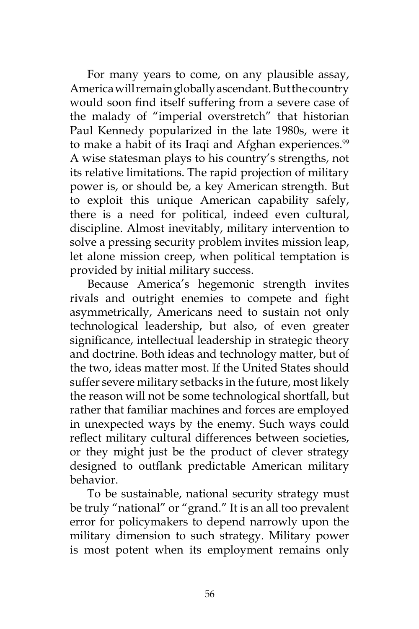For many years to come, on any plausible assay, America will remain globally ascendant. But the country would soon find itself suffering from a severe case of the malady of "imperial overstretch" that historian Paul Kennedy popularized in the late 1980s, were it to make a habit of its Iraqi and Afghan experiences.<sup>99</sup> A wise statesman plays to his country's strengths, not its relative limitations. The rapid projection of military power is, or should be, a key American strength. But to exploit this unique American capability safely, there is a need for political, indeed even cultural, discipline. Almost inevitably, military intervention to solve a pressing security problem invites mission leap, let alone mission creep, when political temptation is provided by initial military success.

Because America's hegemonic strength invites rivals and outright enemies to compete and fight asymmetrically, Americans need to sustain not only technological leadership, but also, of even greater significance, intellectual leadership in strategic theory and doctrine. Both ideas and technology matter, but of the two, ideas matter most. If the United States should suffer severe military setbacks in the future, most likely the reason will not be some technological shortfall, but rather that familiar machines and forces are employed in unexpected ways by the enemy. Such ways could reflect military cultural differences between societies, or they might just be the product of clever strategy designed to outflank predictable American military behavior.

To be sustainable, national security strategy must be truly "national" or "grand." It is an all too prevalent error for policymakers to depend narrowly upon the military dimension to such strategy. Military power is most potent when its employment remains only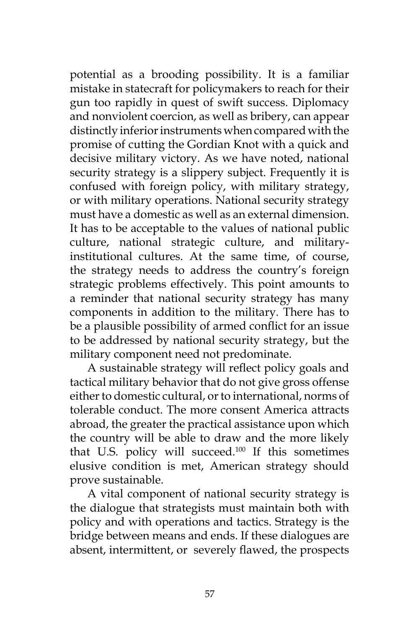potential as a brooding possibility. It is a familiar mistake in statecraft for policymakers to reach for their gun too rapidly in quest of swift success. Diplomacy and nonviolent coercion, as well as bribery, can appear distinctly inferior instruments when compared with the promise of cutting the Gordian Knot with a quick and decisive military victory. As we have noted, national security strategy is a slippery subject. Frequently it is confused with foreign policy, with military strategy, or with military operations. National security strategy must have a domestic as well as an external dimension. It has to be acceptable to the values of national public culture, national strategic culture, and militaryinstitutional cultures. At the same time, of course, the strategy needs to address the country's foreign strategic problems effectively. This point amounts to a reminder that national security strategy has many components in addition to the military. There has to be a plausible possibility of armed conflict for an issue to be addressed by national security strategy, but the military component need not predominate.

A sustainable strategy will reflect policy goals and tactical military behavior that do not give gross offense either to domestic cultural, or to international, norms of tolerable conduct. The more consent America attracts abroad, the greater the practical assistance upon which the country will be able to draw and the more likely that U.S. policy will succeed. $100$  If this sometimes elusive condition is met, American strategy should prove sustainable.

A vital component of national security strategy is the dialogue that strategists must maintain both with policy and with operations and tactics. Strategy is the bridge between means and ends. If these dialogues are absent, intermittent, or severely flawed, the prospects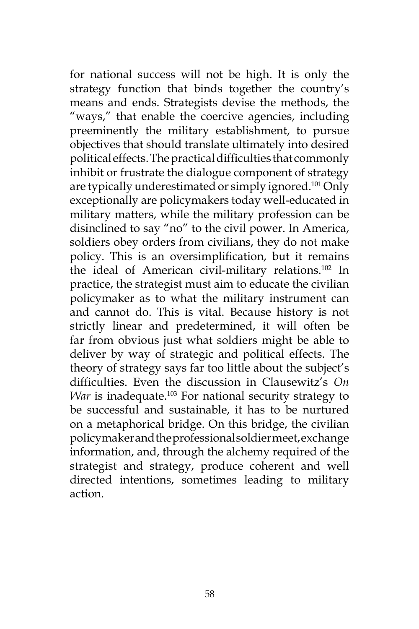for national success will not be high. It is only the strategy function that binds together the country's means and ends. Strategists devise the methods, the "ways," that enable the coercive agencies, including preeminently the military establishment, to pursue objectives that should translate ultimately into desired political effects. The practical difficulties that commonly inhibit or frustrate the dialogue component of strategy are typically underestimated or simply ignored.<sup>101</sup> Only exceptionally are policymakers today well-educated in military matters, while the military profession can be disinclined to say "no" to the civil power. In America, soldiers obey orders from civilians, they do not make policy. This is an oversimplification, but it remains the ideal of American civil-military relations.102 In practice, the strategist must aim to educate the civilian policymaker as to what the military instrument can and cannot do. This is vital. Because history is not strictly linear and predetermined, it will often be far from obvious just what soldiers might be able to deliver by way of strategic and political effects. The theory of strategy says far too little about the subject's difficulties. Even the discussion in Clausewitz's *On War* is inadequate.<sup>103</sup> For national security strategy to be successful and sustainable, it has to be nurtured on a metaphorical bridge. On this bridge, the civilian policymaker and the professional soldier meet, exchange information, and, through the alchemy required of the strategist and strategy, produce coherent and well directed intentions, sometimes leading to military action.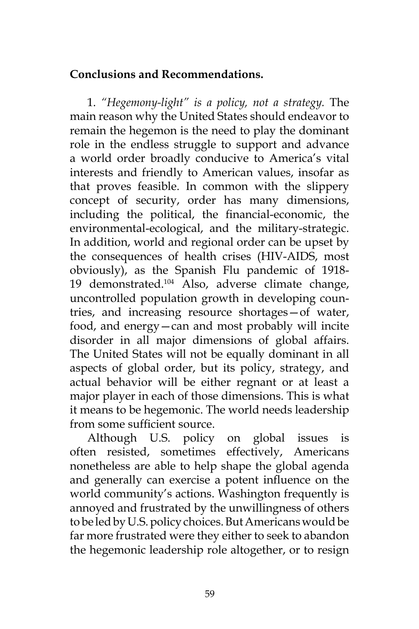## **Conclusions and Recommendations.**

1. *"Hegemony-light" is a policy, not a strategy.* The main reason why the United States should endeavor to remain the hegemon is the need to play the dominant role in the endless struggle to support and advance a world order broadly conducive to America's vital interests and friendly to American values, insofar as that proves feasible. In common with the slippery concept of security, order has many dimensions, including the political, the financial-economic, the environmental-ecological, and the military-strategic. In addition, world and regional order can be upset by the consequences of health crises (HIV-AIDS, most obviously), as the Spanish Flu pandemic of 1918- 19 demonstrated.104 Also, adverse climate change, uncontrolled population growth in developing countries, and increasing resource shortages—of water, food, and energy—can and most probably will incite disorder in all major dimensions of global affairs. The United States will not be equally dominant in all aspects of global order, but its policy, strategy, and actual behavior will be either regnant or at least a major player in each of those dimensions. This is what it means to be hegemonic. The world needs leadership from some sufficient source.

Although U.S. policy on global issues is often resisted, sometimes effectively, Americans nonetheless are able to help shape the global agenda and generally can exercise a potent influence on the world community's actions. Washington frequently is annoyed and frustrated by the unwillingness of others to be led by U.S. policy choices. But Americans would be far more frustrated were they either to seek to abandon the hegemonic leadership role altogether, or to resign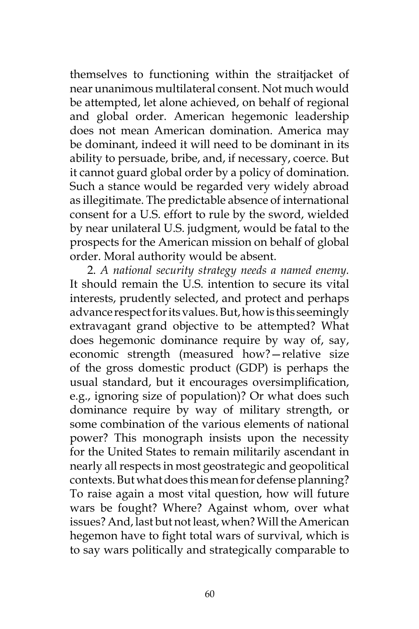themselves to functioning within the straitjacket of near unanimous multilateral consent. Not much would be attempted, let alone achieved, on behalf of regional and global order. American hegemonic leadership does not mean American domination. America may be dominant, indeed it will need to be dominant in its ability to persuade, bribe, and, if necessary, coerce. But it cannot guard global order by a policy of domination. Such a stance would be regarded very widely abroad as illegitimate. The predictable absence of international consent for a U.S. effort to rule by the sword, wielded by near unilateral U.S. judgment, would be fatal to the prospects for the American mission on behalf of global order. Moral authority would be absent.

2. *A national security strategy needs a named enemy.*  It should remain the U.S. intention to secure its vital interests, prudently selected, and protect and perhaps advance respect for its values. But, how is this seemingly extravagant grand objective to be attempted? What does hegemonic dominance require by way of, say, economic strength (measured how?—relative size of the gross domestic product (GDP) is perhaps the usual standard, but it encourages oversimplification, e.g., ignoring size of population)? Or what does such dominance require by way of military strength, or some combination of the various elements of national power? This monograph insists upon the necessity for the United States to remain militarily ascendant in nearly all respects in most geostrategic and geopolitical contexts. But what does this mean for defense planning? To raise again a most vital question, how will future wars be fought? Where? Against whom, over what issues? And, last but not least, when? Will the American hegemon have to fight total wars of survival, which is to say wars politically and strategically comparable to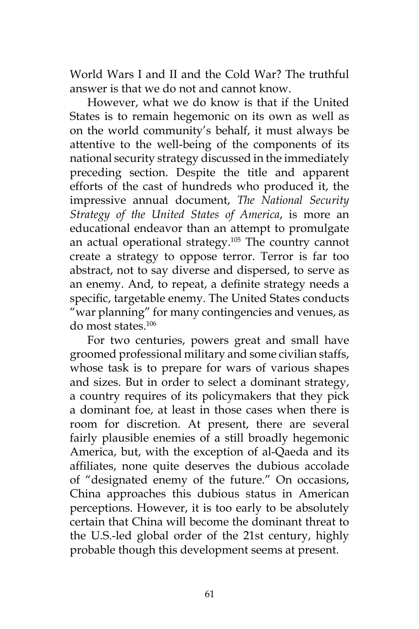World Wars I and II and the Cold War? The truthful answer is that we do not and cannot know.

However, what we do know is that if the United States is to remain hegemonic on its own as well as on the world community's behalf, it must always be attentive to the well-being of the components of its national security strategy discussed in the immediately preceding section. Despite the title and apparent efforts of the cast of hundreds who produced it, the impressive annual document, *The National Security Strategy of the United States of America*, is more an educational endeavor than an attempt to promulgate an actual operational strategy.105 The country cannot create a strategy to oppose terror. Terror is far too abstract, not to say diverse and dispersed, to serve as an enemy. And, to repeat, a definite strategy needs a specific, targetable enemy. The United States conducts "war planning" for many contingencies and venues, as do most states.106

For two centuries, powers great and small have groomed professional military and some civilian staffs, whose task is to prepare for wars of various shapes and sizes. But in order to select a dominant strategy, a country requires of its policymakers that they pick a dominant foe, at least in those cases when there is room for discretion. At present, there are several fairly plausible enemies of a still broadly hegemonic America, but, with the exception of al-Qaeda and its affiliates, none quite deserves the dubious accolade of "designated enemy of the future." On occasions, China approaches this dubious status in American perceptions. However, it is too early to be absolutely certain that China will become the dominant threat to the U.S.-led global order of the 21st century, highly probable though this development seems at present.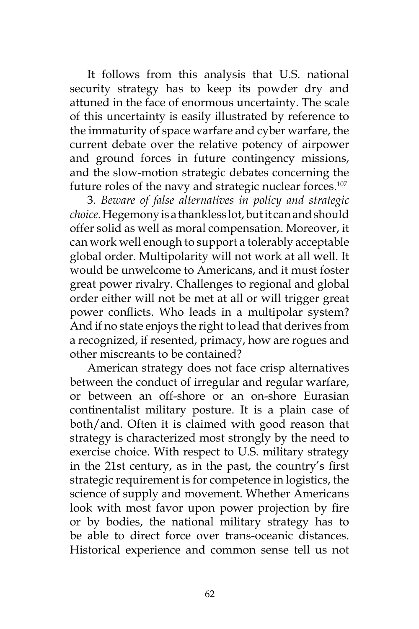It follows from this analysis that U.S. national security strategy has to keep its powder dry and attuned in the face of enormous uncertainty. The scale of this uncertainty is easily illustrated by reference to the immaturity of space warfare and cyber warfare, the current debate over the relative potency of airpower and ground forces in future contingency missions, and the slow-motion strategic debates concerning the future roles of the navy and strategic nuclear forces.<sup>107</sup>

3. *Beware of false alternatives in policy and strategic choice.* Hegemony is a thankless lot, but it can and should offer solid as well as moral compensation. Moreover, it can work well enough to support a tolerably acceptable global order. Multipolarity will not work at all well. It would be unwelcome to Americans, and it must foster great power rivalry. Challenges to regional and global order either will not be met at all or will trigger great power conflicts. Who leads in a multipolar system? And if no state enjoys the right to lead that derives from a recognized, if resented, primacy, how are rogues and other miscreants to be contained?

American strategy does not face crisp alternatives between the conduct of irregular and regular warfare, or between an off-shore or an on-shore Eurasian continentalist military posture. It is a plain case of both/and. Often it is claimed with good reason that strategy is characterized most strongly by the need to exercise choice. With respect to U.S. military strategy in the 21st century, as in the past, the country's first strategic requirement is for competence in logistics, the science of supply and movement. Whether Americans look with most favor upon power projection by fire or by bodies, the national military strategy has to be able to direct force over trans-oceanic distances. Historical experience and common sense tell us not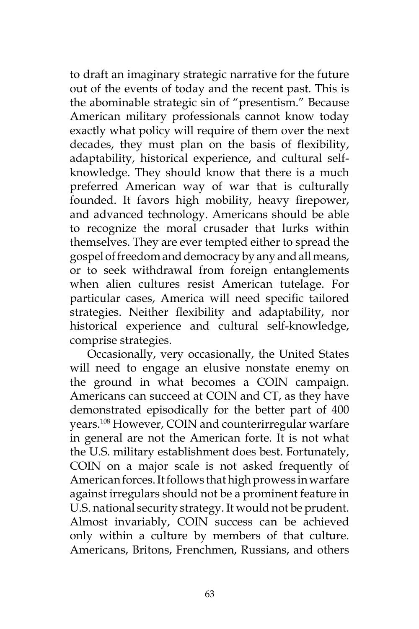to draft an imaginary strategic narrative for the future out of the events of today and the recent past. This is the abominable strategic sin of "presentism." Because American military professionals cannot know today exactly what policy will require of them over the next decades, they must plan on the basis of flexibility, adaptability, historical experience, and cultural selfknowledge. They should know that there is a much preferred American way of war that is culturally founded. It favors high mobility, heavy firepower, and advanced technology. Americans should be able to recognize the moral crusader that lurks within themselves. They are ever tempted either to spread the gospel of freedom and democracy by any and all means, or to seek withdrawal from foreign entanglements when alien cultures resist American tutelage. For particular cases, America will need specific tailored strategies. Neither flexibility and adaptability, nor historical experience and cultural self-knowledge, comprise strategies.

Occasionally, very occasionally, the United States will need to engage an elusive nonstate enemy on the ground in what becomes a COIN campaign. Americans can succeed at COIN and CT, as they have demonstrated episodically for the better part of 400 years.108 However, COIN and counterirregular warfare in general are not the American forte. It is not what the U.S. military establishment does best. Fortunately, COIN on a major scale is not asked frequently of American forces. It follows that high prowess in warfare against irregulars should not be a prominent feature in U.S. national security strategy. It would not be prudent. Almost invariably, COIN success can be achieved only within a culture by members of that culture. Americans, Britons, Frenchmen, Russians, and others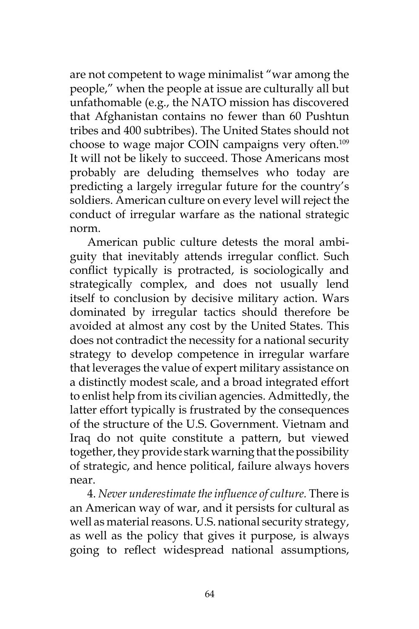are not competent to wage minimalist "war among the people," when the people at issue are culturally all but unfathomable (e.g., the NATO mission has discovered that Afghanistan contains no fewer than 60 Pushtun tribes and 400 subtribes). The United States should not choose to wage major COIN campaigns very often.<sup>109</sup> It will not be likely to succeed. Those Americans most probably are deluding themselves who today are predicting a largely irregular future for the country's soldiers. American culture on every level will reject the conduct of irregular warfare as the national strategic norm.

American public culture detests the moral ambiguity that inevitably attends irregular conflict. Such conflict typically is protracted, is sociologically and strategically complex, and does not usually lend itself to conclusion by decisive military action. Wars dominated by irregular tactics should therefore be avoided at almost any cost by the United States. This does not contradict the necessity for a national security strategy to develop competence in irregular warfare that leverages the value of expert military assistance on a distinctly modest scale, and a broad integrated effort to enlist help from its civilian agencies. Admittedly, the latter effort typically is frustrated by the consequences of the structure of the U.S. Government. Vietnam and Iraq do not quite constitute a pattern, but viewed together, they provide stark warning that the possibility of strategic, and hence political, failure always hovers near.

4. *Never underestimate the influence of culture.* There is an American way of war, and it persists for cultural as well as material reasons. U.S. national security strategy, as well as the policy that gives it purpose, is always going to reflect widespread national assumptions,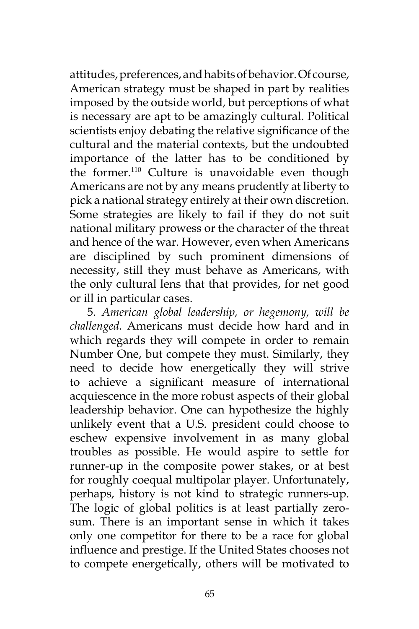attitudes, preferences, and habits of behavior. Of course, American strategy must be shaped in part by realities imposed by the outside world, but perceptions of what is necessary are apt to be amazingly cultural. Political scientists enjoy debating the relative significance of the cultural and the material contexts, but the undoubted importance of the latter has to be conditioned by the former.<sup>110</sup> Culture is unavoidable even though Americans are not by any means prudently at liberty to pick a national strategy entirely at their own discretion. Some strategies are likely to fail if they do not suit national military prowess or the character of the threat and hence of the war. However, even when Americans are disciplined by such prominent dimensions of necessity, still they must behave as Americans, with the only cultural lens that that provides, for net good or ill in particular cases.

5. *American global leadership, or hegemony, will be challenged.* Americans must decide how hard and in which regards they will compete in order to remain Number One, but compete they must. Similarly, they need to decide how energetically they will strive to achieve a significant measure of international acquiescence in the more robust aspects of their global leadership behavior. One can hypothesize the highly unlikely event that a U.S. president could choose to eschew expensive involvement in as many global troubles as possible. He would aspire to settle for runner-up in the composite power stakes, or at best for roughly coequal multipolar player. Unfortunately, perhaps, history is not kind to strategic runners-up. The logic of global politics is at least partially zerosum. There is an important sense in which it takes only one competitor for there to be a race for global influence and prestige. If the United States chooses not to compete energetically, others will be motivated to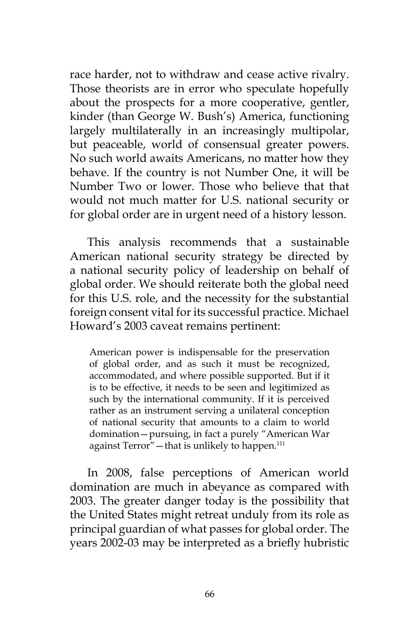race harder, not to withdraw and cease active rivalry. Those theorists are in error who speculate hopefully about the prospects for a more cooperative, gentler, kinder (than George W. Bush's) America, functioning largely multilaterally in an increasingly multipolar, but peaceable, world of consensual greater powers. No such world awaits Americans, no matter how they behave. If the country is not Number One, it will be Number Two or lower. Those who believe that that would not much matter for U.S. national security or for global order are in urgent need of a history lesson.

This analysis recommends that a sustainable American national security strategy be directed by a national security policy of leadership on behalf of global order. We should reiterate both the global need for this U.S. role, and the necessity for the substantial foreign consent vital for its successful practice. Michael Howard's 2003 caveat remains pertinent:

American power is indispensable for the preservation of global order, and as such it must be recognized, accommodated, and where possible supported. But if it is to be effective, it needs to be seen and legitimized as such by the international community. If it is perceived rather as an instrument serving a unilateral conception of national security that amounts to a claim to world domination—pursuing, in fact a purely "American War against Terror"  $-$  that is unlikely to happen.<sup>111</sup>

In 2008, false perceptions of American world domination are much in abeyance as compared with 2003. The greater danger today is the possibility that the United States might retreat unduly from its role as principal guardian of what passes for global order. The years 2002-03 may be interpreted as a briefly hubristic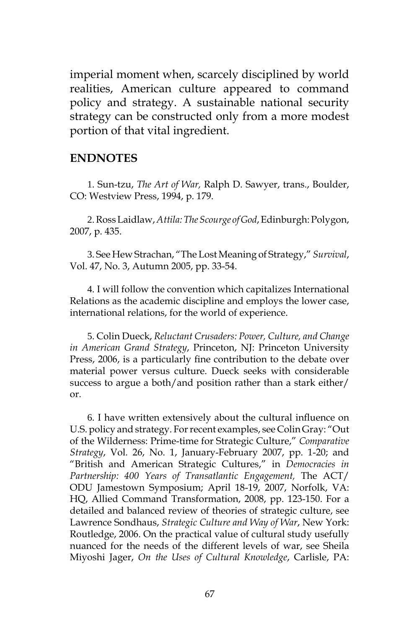imperial moment when, scarcely disciplined by world realities, American culture appeared to command policy and strategy. A sustainable national security strategy can be constructed only from a more modest portion of that vital ingredient.

## **ENDNOTES**

1. Sun-tzu, *The Art of War,* Ralph D. Sawyer, trans., Boulder, CO: Westview Press, 1994, p. 179.

2. Ross Laidlaw, *Attila: The Scourge of God*, Edinburgh: Polygon, 2007, p. 435.

3. See Hew Strachan, "The Lost Meaning of Strategy," *Survival*, Vol. 47, No. 3, Autumn 2005, pp. 33-54.

4. I will follow the convention which capitalizes International Relations as the academic discipline and employs the lower case, international relations, for the world of experience.

5. Colin Dueck, *Reluctant Crusaders: Power, Culture, and Change in American Grand Strategy*, Princeton, NJ: Princeton University Press, 2006, is a particularly fine contribution to the debate over material power versus culture. Dueck seeks with considerable success to argue a both/and position rather than a stark either/ or.

6. I have written extensively about the cultural influence on U.S. policy and strategy. For recent examples, see Colin Gray: "Out of the Wilderness: Prime-time for Strategic Culture," *Comparative Strategy*, Vol. 26, No. 1, January-February 2007, pp. 1-20; and "British and American Strategic Cultures," in *Democracies in Partnership: 400 Years of Transatlantic Engagement,* The ACT/ ODU Jamestown Symposium; April 18-19, 2007, Norfolk, VA: HQ, Allied Command Transformation, 2008, pp. 123-150. For a detailed and balanced review of theories of strategic culture, see Lawrence Sondhaus, *Strategic Culture and Way of War*, New York: Routledge, 2006. On the practical value of cultural study usefully nuanced for the needs of the different levels of war, see Sheila Miyoshi Jager, *On the Uses of Cultural Knowledge*, Carlisle, PA: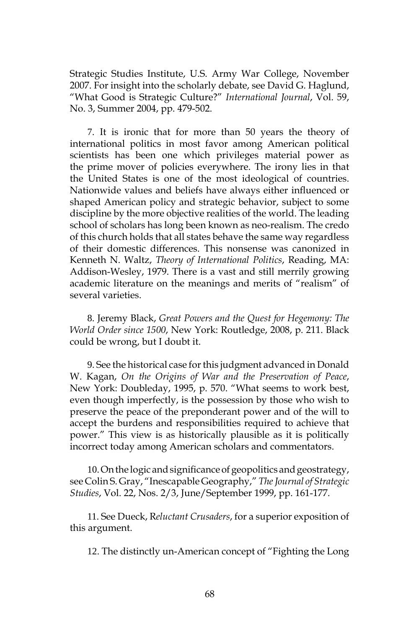Strategic Studies Institute, U.S. Army War College, November 2007. For insight into the scholarly debate, see David G. Haglund, "What Good is Strategic Culture?" *International Journal*, Vol. 59, No. 3, Summer 2004, pp. 479-502.

7. It is ironic that for more than 50 years the theory of international politics in most favor among American political scientists has been one which privileges material power as the prime mover of policies everywhere. The irony lies in that the United States is one of the most ideological of countries. Nationwide values and beliefs have always either influenced or shaped American policy and strategic behavior, subject to some discipline by the more objective realities of the world. The leading school of scholars has long been known as neo-realism. The credo of this church holds that all states behave the same way regardless of their domestic differences. This nonsense was canonized in Kenneth N. Waltz, *Theory of International Politics*, Reading, MA: Addison-Wesley, 1979. There is a vast and still merrily growing academic literature on the meanings and merits of "realism" of several varieties.

8. Jeremy Black, *Great Powers and the Quest for Hegemony: The World Order since 1500*, New York: Routledge, 2008, p. 211. Black could be wrong, but I doubt it.

9. See the historical case for this judgment advanced in Donald W. Kagan, *On the Origins of War and the Preservation of Peace*, New York: Doubleday, 1995, p. 570. "What seems to work best, even though imperfectly, is the possession by those who wish to preserve the peace of the preponderant power and of the will to accept the burdens and responsibilities required to achieve that power." This view is as historically plausible as it is politically incorrect today among American scholars and commentators.

10. On the logic and significance of geopolitics and geostrategy, see Colin S. Gray, "Inescapable Geography," *The Journal of Strategic Studies*, Vol. 22, Nos. 2/3, June/September 1999, pp. 161-177.

11. See Dueck, R*eluctant Crusaders*, for a superior exposition of this argument.

12. The distinctly un-American concept of "Fighting the Long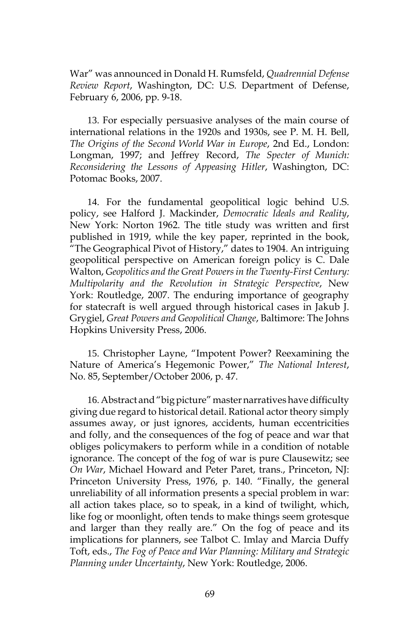War" was announced in Donald H. Rumsfeld, *Quadrennial Defense Review Report*, Washington, DC: U.S. Department of Defense, February 6, 2006, pp. 9-18.

13. For especially persuasive analyses of the main course of international relations in the 1920s and 1930s, see P. M. H. Bell, *The Origins of the Second World War in Europe*, 2nd Ed., London: Longman, 1997; and Jeffrey Record, *The Specter of Munich: Reconsidering the Lessons of Appeasing Hitler*, Washington, DC: Potomac Books, 2007.

14. For the fundamental geopolitical logic behind U.S. policy, see Halford J. Mackinder, *Democratic Ideals and Reality*, New York: Norton 1962. The title study was written and first published in 1919, while the key paper, reprinted in the book, "The Geographical Pivot of History," dates to 1904. An intriguing geopolitical perspective on American foreign policy is C. Dale Walton, *Geopolitics and the Great Powers in the Twenty-First Century: Multipolarity and the Revolution in Strategic Perspective*, New York: Routledge, 2007. The enduring importance of geography for statecraft is well argued through historical cases in Jakub J. Grygiel, *Great Powers and Geopolitical Change*, Baltimore: The Johns Hopkins University Press, 2006.

15. Christopher Layne, "Impotent Power? Reexamining the Nature of America's Hegemonic Power," *The National Interest*, No. 85, September/October 2006, p. 47.

16. Abstract and "big picture" master narratives have difficulty giving due regard to historical detail. Rational actor theory simply assumes away, or just ignores, accidents, human eccentricities and folly, and the consequences of the fog of peace and war that obliges policymakers to perform while in a condition of notable ignorance. The concept of the fog of war is pure Clausewitz; see *On War*, Michael Howard and Peter Paret, trans., Princeton, NJ: Princeton University Press, 1976, p. 140. "Finally, the general unreliability of all information presents a special problem in war: all action takes place, so to speak, in a kind of twilight, which, like fog or moonlight, often tends to make things seem grotesque and larger than they really are." On the fog of peace and its implications for planners, see Talbot C. Imlay and Marcia Duffy Toft, eds., *The Fog of Peace and War Planning: Military and Strategic Planning under Uncertainty*, New York: Routledge, 2006.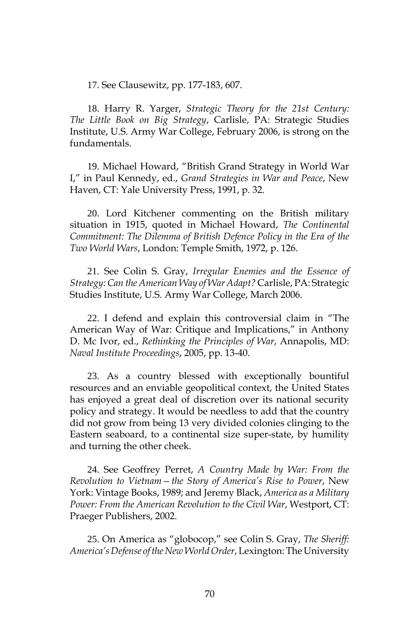17. See Clausewitz, pp. 177-183, 607.

18. Harry R. Yarger, *Strategic Theory for the 21st Century: The Little Book on Big Strategy*, Carlisle, PA: Strategic Studies Institute, U.S. Army War College, February 2006, is strong on the fundamentals.

19. Michael Howard, "British Grand Strategy in World War I," in Paul Kennedy, ed., *Grand Strategies in War and Peace*, New Haven, CT: Yale University Press, 1991, p. 32.

20. Lord Kitchener commenting on the British military situation in 1915, quoted in Michael Howard, *The Continental Commitment: The Dilemma of British Defence Policy in the Era of the Two World Wars*, London: Temple Smith, 1972, p. 126.

21. See Colin S. Gray, *Irregular Enemies and the Essence of Strategy: Can the American Way of War Adapt?* Carlisle, PA: Strategic Studies Institute, U.S. Army War College, March 2006.

22. I defend and explain this controversial claim in "The American Way of War: Critique and Implications," in Anthony D. Mc Ivor, ed., *Rethinking the Principles of War*, Annapolis, MD: *Naval Institute Proceedings*, 2005, pp. 13-40.

23. As a country blessed with exceptionally bountiful resources and an enviable geopolitical context, the United States has enjoyed a great deal of discretion over its national security policy and strategy. It would be needless to add that the country did not grow from being 13 very divided colonies clinging to the Eastern seaboard, to a continental size super-state, by humility and turning the other cheek.

24. See Geoffrey Perret, *A Country Made by War: From the Revolution to Vietnam—the Story of America's Rise to Power*, New York: Vintage Books, 1989; and Jeremy Black, *America as a Military Power: From the American Revolution to the Civil War*, Westport, CT: Praeger Publishers, 2002.

25. On America as "globocop," see Colin S. Gray, *The Sheriff: America's Defense of the New World Order*, Lexington: The University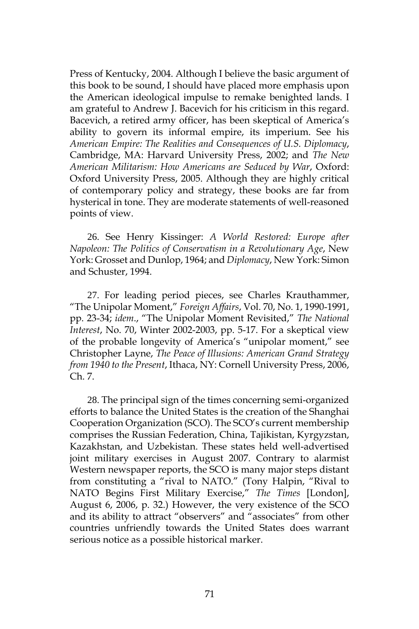Press of Kentucky, 2004. Although I believe the basic argument of this book to be sound, I should have placed more emphasis upon the American ideological impulse to remake benighted lands. I am grateful to Andrew J. Bacevich for his criticism in this regard. Bacevich, a retired army officer, has been skeptical of America's ability to govern its informal empire, its imperium. See his *American Empire: The Realities and Consequences of U.S. Diplomacy*, Cambridge, MA: Harvard University Press, 2002; and *The New American Militarism: How Americans are Seduced by War*, Oxford: Oxford University Press, 2005. Although they are highly critical of contemporary policy and strategy, these books are far from hysterical in tone. They are moderate statements of well-reasoned points of view.

26. See Henry Kissinger: *A World Restored: Europe after Napoleon: The Politics of Conservatism in a Revolutionary Age*, New York: Grosset and Dunlop, 1964; and *Diplomacy*, New York: Simon and Schuster, 1994.

27. For leading period pieces, see Charles Krauthammer, "The Unipolar Moment," *Foreign Affairs*, Vol. 70, No. 1, 1990-1991, pp. 23-34; *idem*., "The Unipolar Moment Revisited," *The National Interest*, No. 70, Winter 2002-2003, pp. 5-17. For a skeptical view of the probable longevity of America's "unipolar moment," see Christopher Layne, *The Peace of Illusions: American Grand Strategy from 1940 to the Present*, Ithaca, NY: Cornell University Press, 2006, Ch. 7.

28. The principal sign of the times concerning semi-organized efforts to balance the United States is the creation of the Shanghai Cooperation Organization (SCO). The SCO's current membership comprises the Russian Federation, China, Tajikistan, Kyrgyzstan, Kazakhstan, and Uzbekistan. These states held well-advertised joint military exercises in August 2007. Contrary to alarmist Western newspaper reports, the SCO is many major steps distant from constituting a "rival to NATO." (Tony Halpin, "Rival to NATO Begins First Military Exercise," *The Times* [London], August 6, 2006, p. 32.) However, the very existence of the SCO and its ability to attract "observers" and "associates" from other countries unfriendly towards the United States does warrant serious notice as a possible historical marker.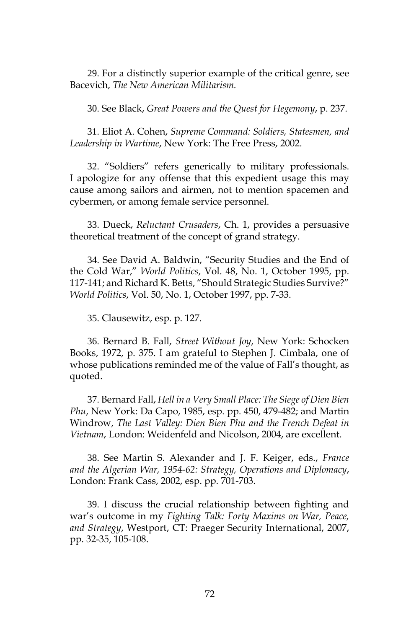29. For a distinctly superior example of the critical genre, see Bacevich, *The New American Militarism.*

30. See Black, *Great Powers and the Quest for Hegemony*, p. 237.

31. Eliot A. Cohen, *Supreme Command: Soldiers, Statesmen, and Leadership in Wartime*, New York: The Free Press, 2002.

32. "Soldiers" refers generically to military professionals. I apologize for any offense that this expedient usage this may cause among sailors and airmen, not to mention spacemen and cybermen, or among female service personnel.

33. Dueck, *Reluctant Crusaders*, Ch. 1, provides a persuasive theoretical treatment of the concept of grand strategy.

34. See David A. Baldwin, "Security Studies and the End of the Cold War," *World Politics*, Vol. 48, No. 1, October 1995, pp. 117-141; and Richard K. Betts, "Should Strategic Studies Survive?" *World Politics*, Vol. 50, No. 1, October 1997, pp. 7-33.

35. Clausewitz, esp. p. 127.

36. Bernard B. Fall, *Street Without Joy*, New York: Schocken Books, 1972, p. 375. I am grateful to Stephen J. Cimbala, one of whose publications reminded me of the value of Fall's thought, as quoted.

37. Bernard Fall, *Hell in a Very Small Place: The Siege of Dien Bien Phu*, New York: Da Capo, 1985, esp. pp. 450, 479-482; and Martin Windrow, *The Last Valley: Dien Bien Phu and the French Defeat in Vietnam*, London: Weidenfeld and Nicolson, 2004, are excellent.

38. See Martin S. Alexander and J. F. Keiger, eds., *France and the Algerian War, 1954-62: Strategy, Operations and Diplomacy*, London: Frank Cass, 2002, esp. pp. 701-703.

39. I discuss the crucial relationship between fighting and war's outcome in my *Fighting Talk: Forty Maxims on War, Peace, and Strategy*, Westport, CT: Praeger Security International, 2007, pp. 32-35, 105-108.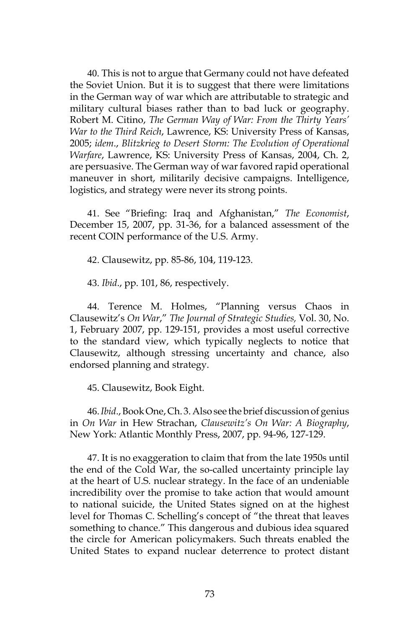40. This is not to argue that Germany could not have defeated the Soviet Union. But it is to suggest that there were limitations in the German way of war which are attributable to strategic and military cultural biases rather than to bad luck or geography. Robert M. Citino, *The German Way of War: From the Thirty Years' War to the Third Reich*, Lawrence, KS: University Press of Kansas, 2005; *idem*., *Blitzkrieg to Desert Storm: The Evolution of Operational Warfare*, Lawrence, KS: University Press of Kansas, 2004, Ch. 2, are persuasive. The German way of war favored rapid operational maneuver in short, militarily decisive campaigns. Intelligence, logistics, and strategy were never its strong points.

41. See "Briefing: Iraq and Afghanistan," *The Economist*, December 15, 2007, pp. 31-36, for a balanced assessment of the recent COIN performance of the U.S. Army.

42. Clausewitz, pp. 85-86, 104, 119-123.

43. *Ibid*., pp. 101, 86, respectively.

44. Terence M. Holmes, "Planning versus Chaos in Clausewitz's *On War*," *The Journal of Strategic Studies,* Vol. 30, No. 1, February 2007, pp. 129-151, provides a most useful corrective to the standard view, which typically neglects to notice that Clausewitz, although stressing uncertainty and chance, also endorsed planning and strategy.

45. Clausewitz, Book Eight.

46. *Ibid*., Book One, Ch. 3. Also see the brief discussion of genius in *On War* in Hew Strachan, *Clausewitz's On War: A Biography*, New York: Atlantic Monthly Press, 2007, pp. 94-96, 127-129.

47. It is no exaggeration to claim that from the late 1950s until the end of the Cold War, the so-called uncertainty principle lay at the heart of U.S. nuclear strategy. In the face of an undeniable incredibility over the promise to take action that would amount to national suicide, the United States signed on at the highest level for Thomas C. Schelling's concept of "the threat that leaves something to chance." This dangerous and dubious idea squared the circle for American policymakers. Such threats enabled the United States to expand nuclear deterrence to protect distant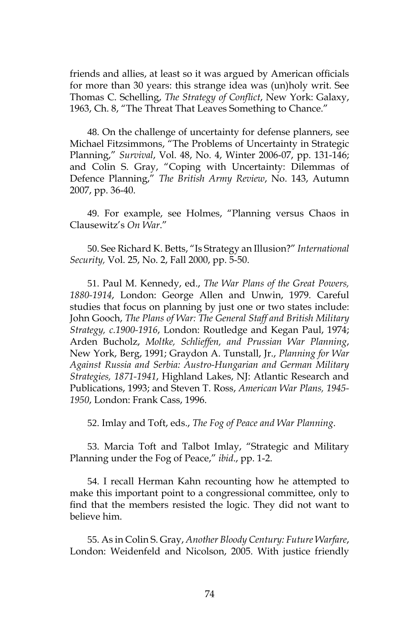friends and allies, at least so it was argued by American officials for more than 30 years: this strange idea was (un)holy writ. See Thomas C. Schelling, *The Strategy of Conflict*, New York: Galaxy, 1963, Ch. 8, "The Threat That Leaves Something to Chance."

48. On the challenge of uncertainty for defense planners, see Michael Fitzsimmons, "The Problems of Uncertainty in Strategic Planning," *Survival*, Vol. 48, No. 4, Winter 2006-07, pp. 131-146; and Colin S. Gray, "Coping with Uncertainty: Dilemmas of Defence Planning," *The British Army Review*, No. 143, Autumn 2007, pp. 36-40.

49. For example, see Holmes, "Planning versus Chaos in Clausewitz's *On War*."

50. See Richard K. Betts, "Is Strategy an Illusion?" *International Security,* Vol. 25, No. 2, Fall 2000, pp. 5-50.

51. Paul M. Kennedy, ed., *The War Plans of the Great Powers, 1880-1914*, London: George Allen and Unwin, 1979. Careful studies that focus on planning by just one or two states include: John Gooch, *The Plans of War: The General Staff and British Military Strategy, c.1900-1916*, London: Routledge and Kegan Paul, 1974; Arden Bucholz, *Moltke, Schlieffen, and Prussian War Planning*, New York, Berg, 1991; Graydon A. Tunstall, Jr., *Planning for War Against Russia and Serbia: Austro-Hungarian and German Military Strategies, 1871-1941*, Highland Lakes, NJ: Atlantic Research and Publications, 1993; and Steven T. Ross, *American War Plans, 1945- 1950*, London: Frank Cass, 1996.

52. Imlay and Toft, eds., *The Fog of Peace and War Planning*.

53. Marcia Toft and Talbot Imlay, "Strategic and Military Planning under the Fog of Peace," *ibid*., pp. 1-2.

54. I recall Herman Kahn recounting how he attempted to make this important point to a congressional committee, only to find that the members resisted the logic. They did not want to believe him.

55. As in Colin S. Gray, *Another Bloody Century: Future Warfare*, London: Weidenfeld and Nicolson, 2005. With justice friendly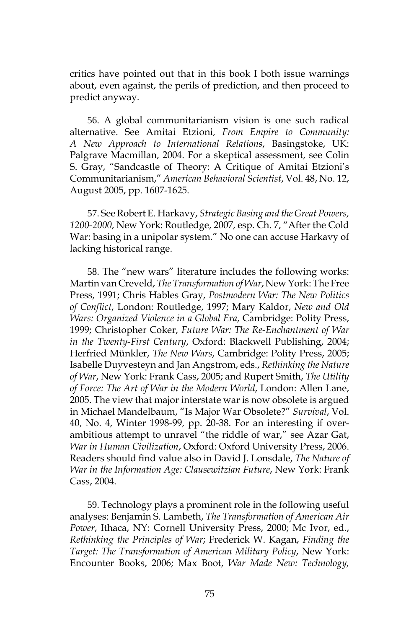critics have pointed out that in this book I both issue warnings about, even against, the perils of prediction, and then proceed to predict anyway.

56. A global communitarianism vision is one such radical alternative. See Amitai Etzioni, *From Empire to Community: A New Approach to International Relations*, Basingstoke, UK: Palgrave Macmillan, 2004. For a skeptical assessment, see Colin S. Gray, "Sandcastle of Theory: A Critique of Amitai Etzioni's Communitarianism," *American Behavioral Scientist*, Vol. 48, No. 12, August 2005, pp. 1607-1625.

57. See Robert E. Harkavy, *Strategic Basing and the Great Powers, 1200-2000*, New York: Routledge, 2007, esp. Ch. 7, "After the Cold War: basing in a unipolar system." No one can accuse Harkavy of lacking historical range.

58. The "new wars" literature includes the following works: Martin van Creveld, *The Transformation of War*, New York: The Free Press, 1991; Chris Hables Gray, *Postmodern War: The New Politics of Conflict*, London: Routledge, 1997; Mary Kaldor, *New and Old Wars: Organized Violence in a Global Era*, Cambridge: Polity Press, 1999; Christopher Coker, *Future War: The Re-Enchantment of War in the Twenty-First Century*, Oxford: Blackwell Publishing, 2004; Herfried Münkler, *The New Wars*, Cambridge: Polity Press, 2005; Isabelle Duyvesteyn and Jan Angstrom, eds., *Rethinking the Nature of War*, New York: Frank Cass, 2005; and Rupert Smith, *The Utility of Force: The Art of War in the Modern World*, London: Allen Lane, 2005. The view that major interstate war is now obsolete is argued in Michael Mandelbaum, "Is Major War Obsolete?" *Survival*, Vol. 40, No. 4, Winter 1998-99, pp. 20-38. For an interesting if overambitious attempt to unravel "the riddle of war," see Azar Gat, *War in Human Civilization*, Oxford: Oxford University Press, 2006. Readers should find value also in David J. Lonsdale, *The Nature of War in the Information Age: Clausewitzian Future*, New York: Frank Cass, 2004.

59. Technology plays a prominent role in the following useful analyses: Benjamin S. Lambeth, *The Transformation of American Air Power*, Ithaca, NY: Cornell University Press, 2000; Mc Ivor, ed., *Rethinking the Principles of War*; Frederick W. Kagan, *Finding the Target: The Transformation of American Military Policy*, New York: Encounter Books, 2006; Max Boot, *War Made New: Technology,*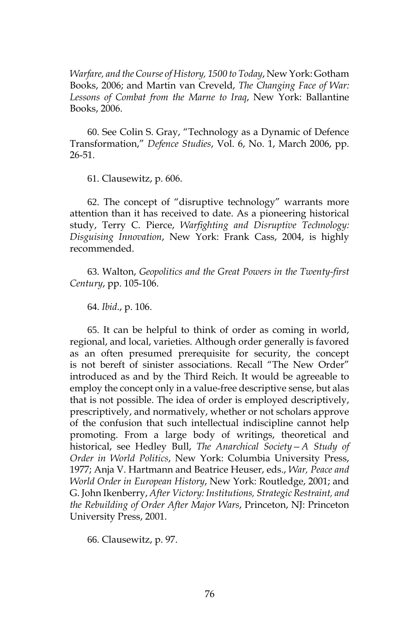*Warfare, and the Course of History, 1500 to Today*, New York: Gotham Books, 2006; and Martin van Creveld, *The Changing Face of War: Lessons of Combat from the Marne to Iraq*, New York: Ballantine Books, 2006.

60. See Colin S. Gray, "Technology as a Dynamic of Defence Transformation," *Defence Studies*, Vol. 6, No. 1, March 2006, pp. 26-51.

61. Clausewitz, p. 606.

62. The concept of "disruptive technology" warrants more attention than it has received to date. As a pioneering historical study, Terry C. Pierce, *Warfighting and Disruptive Technology: Disguising Innovation*, New York: Frank Cass, 2004, is highly recommended.

63. Walton, *Geopolitics and the Great Powers in the Twenty-first Century*, pp. 105-106.

64. *Ibid*., p. 106.

65. It can be helpful to think of order as coming in world, regional, and local, varieties. Although order generally is favored as an often presumed prerequisite for security, the concept is not bereft of sinister associations. Recall "The New Order" introduced as and by the Third Reich. It would be agreeable to employ the concept only in a value-free descriptive sense, but alas that is not possible. The idea of order is employed descriptively, prescriptively, and normatively, whether or not scholars approve of the confusion that such intellectual indiscipline cannot help promoting. From a large body of writings, theoretical and historical, see Hedley Bull, *The Anarchical Society—A Study of Order in World Politics*, New York: Columbia University Press, 1977; Anja V. Hartmann and Beatrice Heuser, eds., *War, Peace and World Order in European History*, New York: Routledge, 2001; and G. John Ikenberry, *After Victory: Institutions, Strategic Restraint, and the Rebuilding of Order After Major Wars*, Princeton, NJ: Princeton University Press, 2001.

66. Clausewitz, p. 97.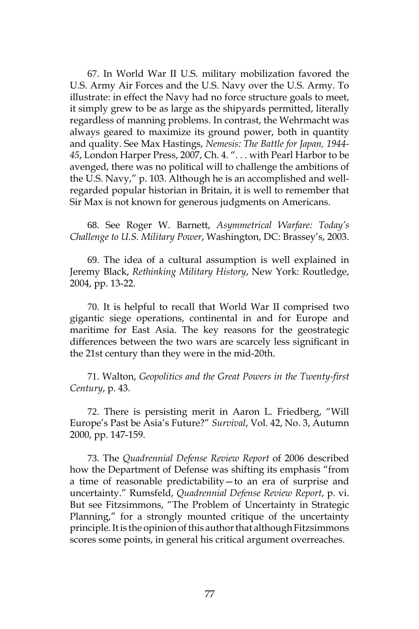67. In World War II U.S. military mobilization favored the U.S. Army Air Forces and the U.S. Navy over the U.S. Army. To illustrate: in effect the Navy had no force structure goals to meet, it simply grew to be as large as the shipyards permitted, literally regardless of manning problems. In contrast, the Wehrmacht was always geared to maximize its ground power, both in quantity and quality. See Max Hastings, *Nemesis: The Battle for Japan, 1944- 45*, London Harper Press, 2007, Ch. 4. ". . . with Pearl Harbor to be avenged, there was no political will to challenge the ambitions of the U.S. Navy," p. 103. Although he is an accomplished and wellregarded popular historian in Britain, it is well to remember that Sir Max is not known for generous judgments on Americans.

68. See Roger W. Barnett, *Asymmetrical Warfare: Today's Challenge to U.S. Military Power*, Washington, DC: Brassey's, 2003.

69. The idea of a cultural assumption is well explained in Jeremy Black, *Rethinking Military History*, New York: Routledge, 2004, pp. 13-22.

70. It is helpful to recall that World War II comprised two gigantic siege operations, continental in and for Europe and maritime for East Asia. The key reasons for the geostrategic differences between the two wars are scarcely less significant in the 21st century than they were in the mid-20th.

71. Walton, *Geopolitics and the Great Powers in the Twenty-first Century*, p. 43.

72. There is persisting merit in Aaron L. Friedberg, "Will Europe's Past be Asia's Future?" *Survival*, Vol. 42, No. 3, Autumn 2000, pp. 147-159.

73. The *Quadrennial Defense Review Report* of 2006 described how the Department of Defense was shifting its emphasis "from a time of reasonable predictability—to an era of surprise and uncertainty." Rumsfeld, *Quadrennial Defense Review Report*, p. vi. But see Fitzsimmons, "The Problem of Uncertainty in Strategic Planning," for a strongly mounted critique of the uncertainty principle. It is the opinion of this author that although Fitzsimmons scores some points, in general his critical argument overreaches.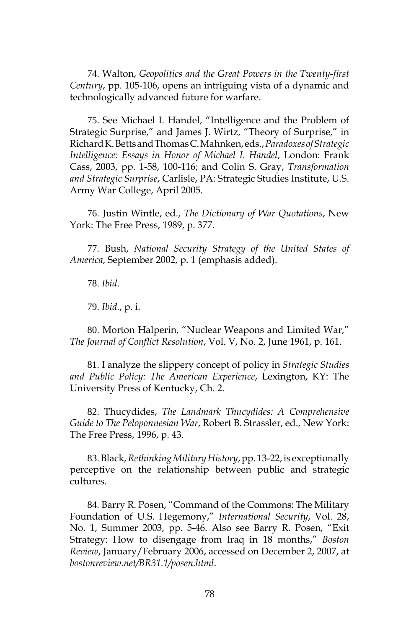74. Walton, *Geopolitics and the Great Powers in the Twenty-first Century*, pp. 105-106, opens an intriguing vista of a dynamic and technologically advanced future for warfare.

75. See Michael I. Handel, "Intelligence and the Problem of Strategic Surprise," and James J. Wirtz, "Theory of Surprise," in Richard K. Betts and Thomas C. Mahnken, eds., *Paradoxes of Strategic Intelligence: Essays in Honor of Michael I. Handel*, London: Frank Cass, 2003, pp. 1-58, 100-116; and Colin S. Gray, *Transformation and Strategic Surprise*, Carlisle, PA: Strategic Studies Institute, U.S. Army War College, April 2005.

76. Justin Wintle, ed., *The Dictionary of War Quotations*, New York: The Free Press, 1989, p. 377.

77. Bush, *National Security Strategy of the United States of America*, September 2002, p. 1 (emphasis added).

78. *Ibid*.

79. *Ibid*., p. i.

80. Morton Halperin, "Nuclear Weapons and Limited War," *The Journal of Conflict Resolution*, Vol. V, No. 2, June 1961, p. 161.

81. I analyze the slippery concept of policy in *Strategic Studies and Public Policy: The American Experience*, Lexington, KY: The University Press of Kentucky, Ch. 2.

82. Thucydides, *The Landmark Thucydides: A Comprehensive Guide to The Peloponnesian War*, Robert B. Strassler, ed., New York: The Free Press, 1996, p. 43.

83. Black, *Rethinking Military History*, pp. 13-22, is exceptionally perceptive on the relationship between public and strategic cultures.

84. Barry R. Posen, "Command of the Commons: The Military Foundation of U.S. Hegemony," *International Security*, Vol. 28, No. 1, Summer 2003, pp. 5-46. Also see Barry R. Posen, "Exit Strategy: How to disengage from Iraq in 18 months," *Boston Review*, January/February 2006, accessed on December 2, 2007, at *bostonreview.net/BR31.1/posen.html*.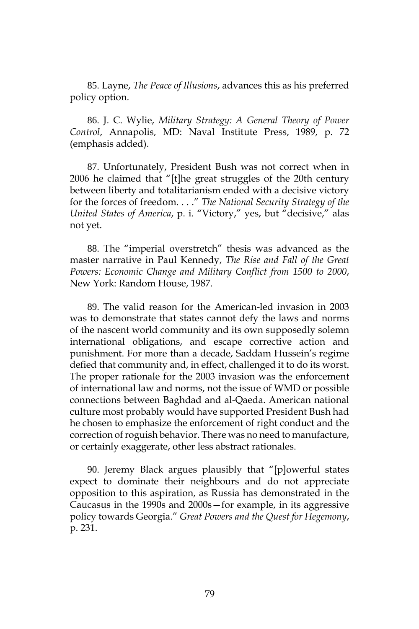85. Layne, *The Peace of Illusions*, advances this as his preferred policy option.

86. J. C. Wylie, *Military Strategy: A General Theory of Power Control*, Annapolis, MD: Naval Institute Press, 1989, p. 72 (emphasis added).

87. Unfortunately, President Bush was not correct when in 2006 he claimed that "[t]he great struggles of the 20th century between liberty and totalitarianism ended with a decisive victory for the forces of freedom. . . ." *The National Security Strategy of the United States of America*, p. i. "Victory," yes, but "decisive," alas not yet.

88. The "imperial overstretch" thesis was advanced as the master narrative in Paul Kennedy, *The Rise and Fall of the Great Powers: Economic Change and Military Conflict from 1500 to 2000*, New York: Random House, 1987.

89. The valid reason for the American-led invasion in 2003 was to demonstrate that states cannot defy the laws and norms of the nascent world community and its own supposedly solemn international obligations, and escape corrective action and punishment. For more than a decade, Saddam Hussein's regime defied that community and, in effect, challenged it to do its worst. The proper rationale for the 2003 invasion was the enforcement of international law and norms, not the issue of WMD or possible connections between Baghdad and al-Qaeda. American national culture most probably would have supported President Bush had he chosen to emphasize the enforcement of right conduct and the correction of roguish behavior. There was no need to manufacture, or certainly exaggerate, other less abstract rationales.

90. Jeremy Black argues plausibly that "[p]owerful states expect to dominate their neighbours and do not appreciate opposition to this aspiration, as Russia has demonstrated in the Caucasus in the 1990s and 2000s—for example, in its aggressive policy towards Georgia." *Great Powers and the Quest for Hegemony*, p. 231.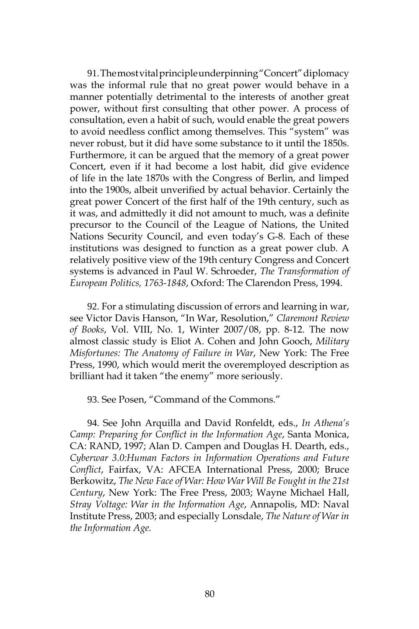91. The most vital principle underpinning "Concert" diplomacy was the informal rule that no great power would behave in a manner potentially detrimental to the interests of another great power, without first consulting that other power. A process of consultation, even a habit of such, would enable the great powers to avoid needless conflict among themselves. This "system" was never robust, but it did have some substance to it until the 1850s. Furthermore, it can be argued that the memory of a great power Concert, even if it had become a lost habit, did give evidence of life in the late 1870s with the Congress of Berlin, and limped into the 1900s, albeit unverified by actual behavior. Certainly the great power Concert of the first half of the 19th century, such as it was, and admittedly it did not amount to much, was a definite precursor to the Council of the League of Nations, the United Nations Security Council, and even today's G-8. Each of these institutions was designed to function as a great power club. A relatively positive view of the 19th century Congress and Concert systems is advanced in Paul W. Schroeder, *The Transformation of European Politics, 1763-1848*, Oxford: The Clarendon Press, 1994.

92. For a stimulating discussion of errors and learning in war, see Victor Davis Hanson, "In War, Resolution," *Claremont Review of Books*, Vol. VIII, No. 1, Winter 2007/08, pp. 8-12. The now almost classic study is Eliot A. Cohen and John Gooch, *Military Misfortunes: The Anatomy of Failure in War*, New York: The Free Press, 1990, which would merit the overemployed description as brilliant had it taken "the enemy" more seriously.

93. See Posen, "Command of the Commons."

94. See John Arquilla and David Ronfeldt, eds., *In Athena's Camp: Preparing for Conflict in the Information Age*, Santa Monica, CA: RAND, 1997; Alan D. Campen and Douglas H. Dearth, eds., *Cyberwar 3.0:Human Factors in Information Operations and Future Conflict*, Fairfax, VA: AFCEA International Press, 2000; Bruce Berkowitz, *The New Face of War: How War Will Be Fought in the 21st Century*, New York: The Free Press, 2003; Wayne Michael Hall, *Stray Voltage: War in the Information Age*, Annapolis, MD: Naval Institute Press, 2003; and especially Lonsdale, *The Nature of War in the Information Age.*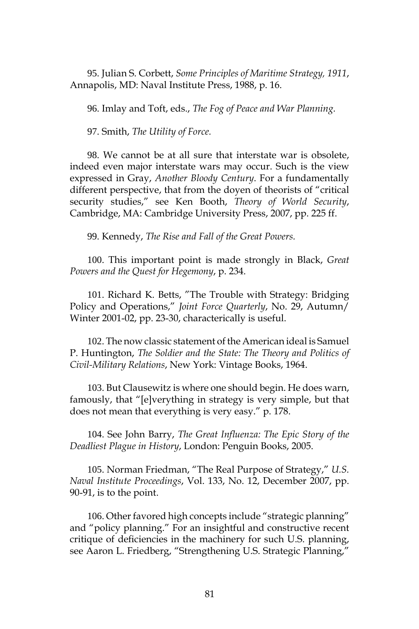95. Julian S. Corbett, *Some Principles of Maritime Strategy, 1911*, Annapolis, MD: Naval Institute Press, 1988, p. 16.

96. Imlay and Toft, eds., *The Fog of Peace and War Planning.*

97. Smith, *The Utility of Force.*

98. We cannot be at all sure that interstate war is obsolete, indeed even major interstate wars may occur. Such is the view expressed in Gray, *Another Bloody Century*. For a fundamentally different perspective, that from the doyen of theorists of "critical security studies," see Ken Booth, *Theory of World Security*, Cambridge, MA: Cambridge University Press, 2007, pp. 225 ff.

99. Kennedy, *The Rise and Fall of the Great Powers.*

100. This important point is made strongly in Black, *Great Powers and the Quest for Hegemony*, p. 234.

101. Richard K. Betts, "The Trouble with Strategy: Bridging Policy and Operations," *Joint Force Quarterly*, No. 29, Autumn/ Winter 2001-02, pp. 23-30, characterically is useful.

102. The now classic statement of the American ideal is Samuel P. Huntington, *The Soldier and the State: The Theory and Politics of Civil-Military Relations*, New York: Vintage Books, 1964.

103. But Clausewitz is where one should begin. He does warn, famously, that "[e]verything in strategy is very simple, but that does not mean that everything is very easy." p. 178.

104. See John Barry, *The Great Influenza: The Epic Story of the Deadliest Plague in History*, London: Penguin Books, 2005.

105. Norman Friedman, "The Real Purpose of Strategy," *U.S. Naval Institute Proceedings*, Vol. 133, No. 12, December 2007, pp. 90-91, is to the point.

106. Other favored high concepts include "strategic planning" and "policy planning." For an insightful and constructive recent critique of deficiencies in the machinery for such U.S. planning, see Aaron L. Friedberg, "Strengthening U.S. Strategic Planning,"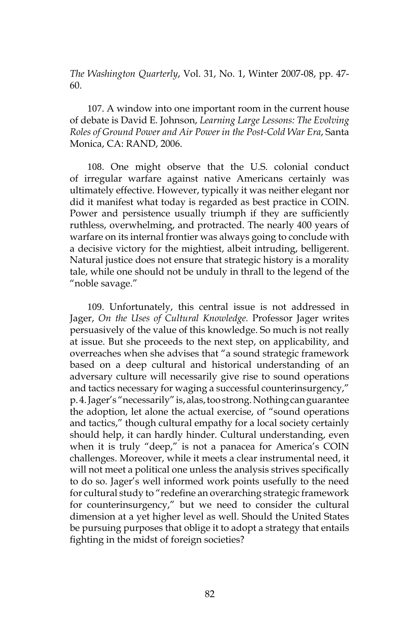*The Washington Quarterly*, Vol. 31, No. 1, Winter 2007-08, pp. 47- 60.

107. A window into one important room in the current house of debate is David E. Johnson, *Learning Large Lessons: The Evolving Roles of Ground Power and Air Power in the Post-Cold War Era*, Santa Monica, CA: RAND, 2006.

108. One might observe that the U.S. colonial conduct of irregular warfare against native Americans certainly was ultimately effective. However, typically it was neither elegant nor did it manifest what today is regarded as best practice in COIN. Power and persistence usually triumph if they are sufficiently ruthless, overwhelming, and protracted. The nearly 400 years of warfare on its internal frontier was always going to conclude with a decisive victory for the mightiest, albeit intruding, belligerent. Natural justice does not ensure that strategic history is a morality tale, while one should not be unduly in thrall to the legend of the "noble savage."

109. Unfortunately, this central issue is not addressed in Jager, *On the Uses of Cultural Knowledge.* Professor Jager writes persuasively of the value of this knowledge. So much is not really at issue. But she proceeds to the next step, on applicability, and overreaches when she advises that "a sound strategic framework based on a deep cultural and historical understanding of an adversary culture will necessarily give rise to sound operations and tactics necessary for waging a successful counterinsurgency," p. 4. Jager's "necessarily" is, alas, too strong. Nothing can guarantee the adoption, let alone the actual exercise, of "sound operations and tactics," though cultural empathy for a local society certainly should help, it can hardly hinder. Cultural understanding, even when it is truly "deep," is not a panacea for America's COIN challenges. Moreover, while it meets a clear instrumental need, it will not meet a political one unless the analysis strives specifically to do so. Jager's well informed work points usefully to the need for cultural study to "redefine an overarching strategic framework for counterinsurgency," but we need to consider the cultural dimension at a yet higher level as well. Should the United States be pursuing purposes that oblige it to adopt a strategy that entails fighting in the midst of foreign societies?